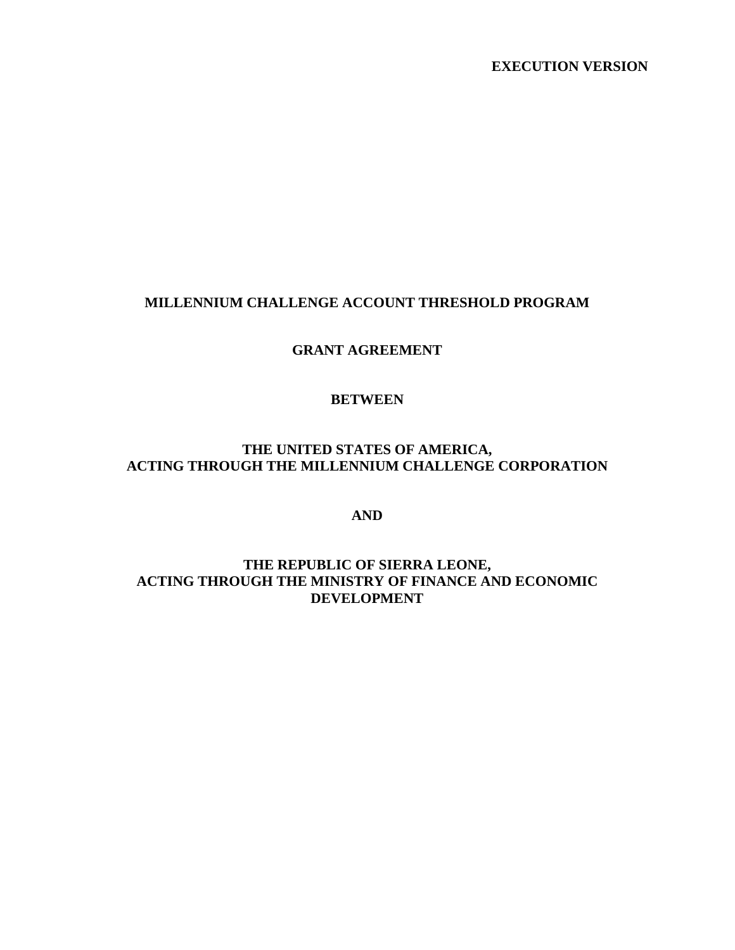**EXECUTION VERSION**

#### **MILLENNIUM CHALLENGE ACCOUNT THRESHOLD PROGRAM**

**GRANT AGREEMENT**

#### **BETWEEN**

### **THE UNITED STATES OF AMERICA, ACTING THROUGH THE MILLENNIUM CHALLENGE CORPORATION**

### **AND**

#### **THE REPUBLIC OF SIERRA LEONE, ACTING THROUGH THE MINISTRY OF FINANCE AND ECONOMIC DEVELOPMENT**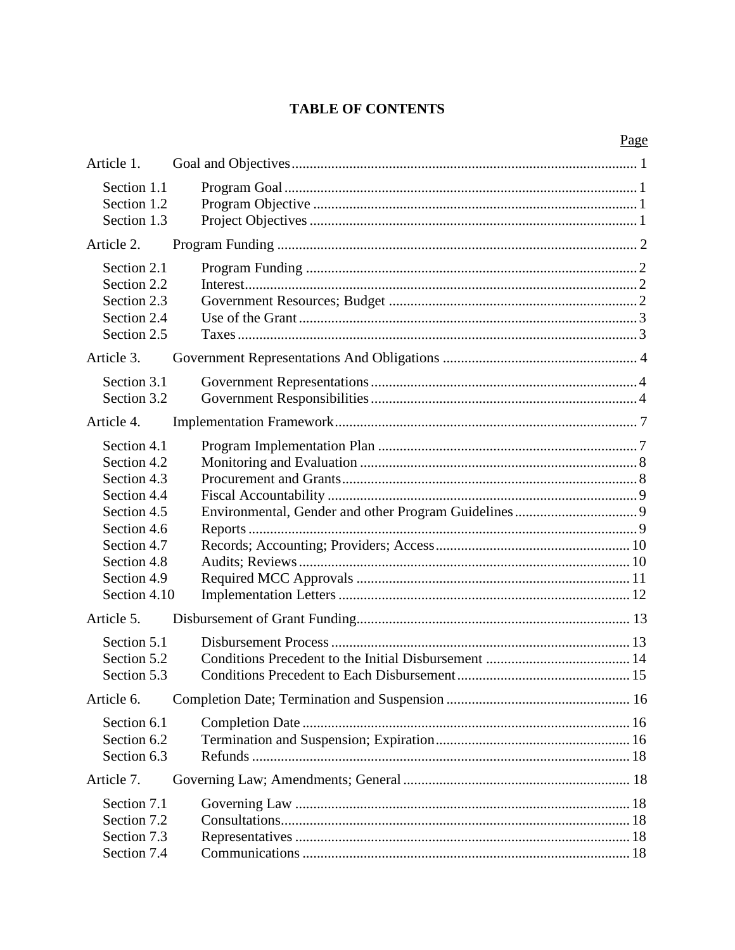# **TABLE OF CONTENTS**

| Article 1.                                                                                                                                          |  |
|-----------------------------------------------------------------------------------------------------------------------------------------------------|--|
| Section 1.1<br>Section 1.2<br>Section 1.3                                                                                                           |  |
| Article 2.                                                                                                                                          |  |
| Section 2.1<br>Section 2.2<br>Section 2.3<br>Section 2.4<br>Section 2.5                                                                             |  |
| Article 3.                                                                                                                                          |  |
| Section 3.1<br>Section 3.2                                                                                                                          |  |
| Article 4.                                                                                                                                          |  |
| Section 4.1<br>Section 4.2<br>Section 4.3<br>Section 4.4<br>Section 4.5<br>Section 4.6<br>Section 4.7<br>Section 4.8<br>Section 4.9<br>Section 4.10 |  |
| Article 5.                                                                                                                                          |  |
| Section 5.1<br>Section 5.2<br>Section 5.3                                                                                                           |  |
| Article 6.                                                                                                                                          |  |
| Section 6.1<br>Section 6.2<br>Section 6.3                                                                                                           |  |
| Article 7.                                                                                                                                          |  |
| Section 7.1<br>Section 7.2<br>Section 7.3<br>Section 7.4                                                                                            |  |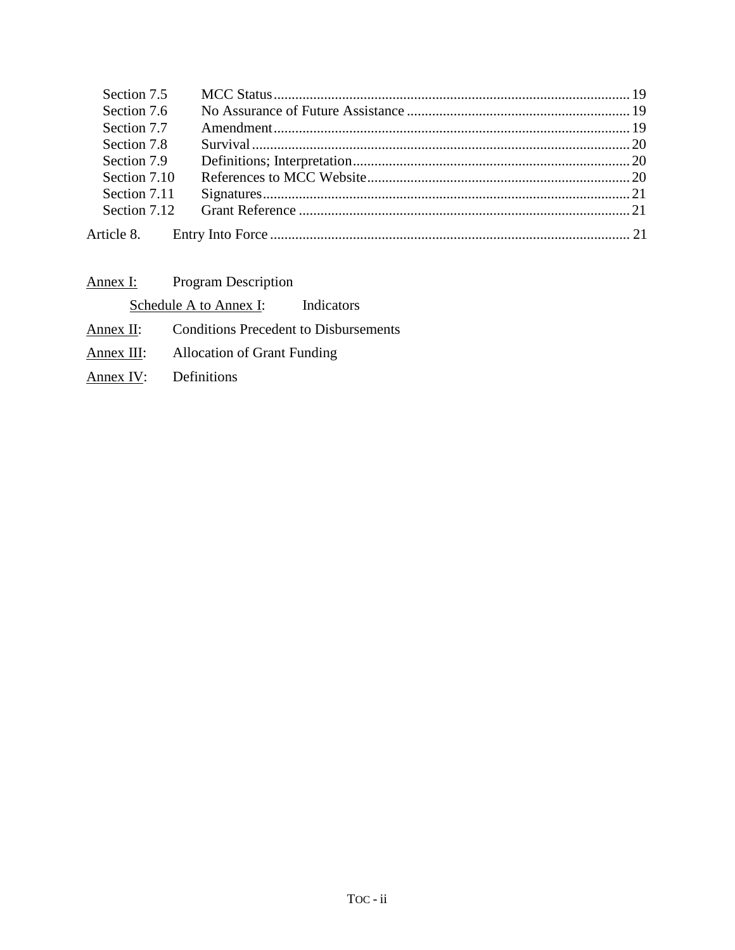| Section 7.6<br>Section 7.7 |  |
|----------------------------|--|
|                            |  |
|                            |  |
| Section 7.8                |  |
| Section 7.9                |  |
| Section 7.10               |  |
| Section 7.11               |  |
| Section 7.12               |  |
|                            |  |

| Annex I:   | <b>Program Description</b>         |                                              |
|------------|------------------------------------|----------------------------------------------|
|            | Schedule A to Annex I:             | Indicators                                   |
| Annex II:  |                                    | <b>Conditions Precedent to Disbursements</b> |
| Annex III: | <b>Allocation of Grant Funding</b> |                                              |
| Annex IV:  | Definitions                        |                                              |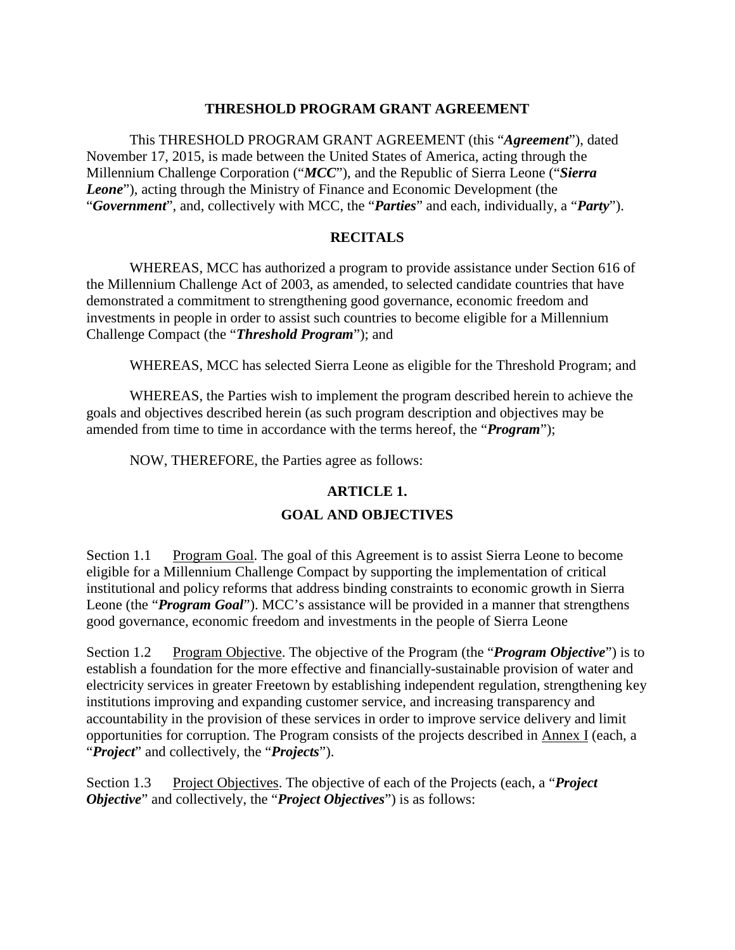#### **THRESHOLD PROGRAM GRANT AGREEMENT**

This THRESHOLD PROGRAM GRANT AGREEMENT (this "*Agreement*"), dated November 17, 2015, is made between the United States of America, acting through the Millennium Challenge Corporation ("*MCC*"), and the Republic of Sierra Leone ("*Sierra Leone*"), acting through the Ministry of Finance and Economic Development (the "*Government*", and, collectively with MCC, the "*Parties*" and each, individually, a "*Party*").

#### **RECITALS**

WHEREAS, MCC has authorized a program to provide assistance under Section 616 of the Millennium Challenge Act of 2003, as amended, to selected candidate countries that have demonstrated a commitment to strengthening good governance, economic freedom and investments in people in order to assist such countries to become eligible for a Millennium Challenge Compact (the "*Threshold Program*"); and

WHEREAS, MCC has selected Sierra Leone as eligible for the Threshold Program; and

WHEREAS, the Parties wish to implement the program described herein to achieve the goals and objectives described herein (as such program description and objectives may be amended from time to time in accordance with the terms hereof, the "*Program*");

NOW, THEREFORE, the Parties agree as follows:

### <span id="page-3-0"></span>**ARTICLE 1.**

#### <span id="page-3-2"></span><span id="page-3-1"></span>**GOAL AND OBJECTIVES**

Section 1.1 Program Goal. The goal of this Agreement is to assist Sierra Leone to become eligible for a Millennium Challenge Compact by supporting the implementation of critical institutional and policy reforms that address binding constraints to economic growth in Sierra Leone (the "*Program Goal*"). MCC's assistance will be provided in a manner that strengthens good governance, economic freedom and investments in the people of Sierra Leone

Section 1.2 Program Objective. The objective of the Program (the "*Program Objective*") is to establish a foundation for the more effective and financially-sustainable provision of water and electricity services in greater Freetown by establishing independent regulation, strengthening key institutions improving and expanding customer service, and increasing transparency and accountability in the provision of these services in order to improve service delivery and limit opportunities for corruption. The Program consists of the projects described in Annex I (each, a "*Project*" and collectively, the "*Projects*").

<span id="page-3-3"></span>Section 1.3 Project Objectives. The objective of each of the Projects (each, a "*Project Objective*" and collectively, the "*Project Objectives*") is as follows: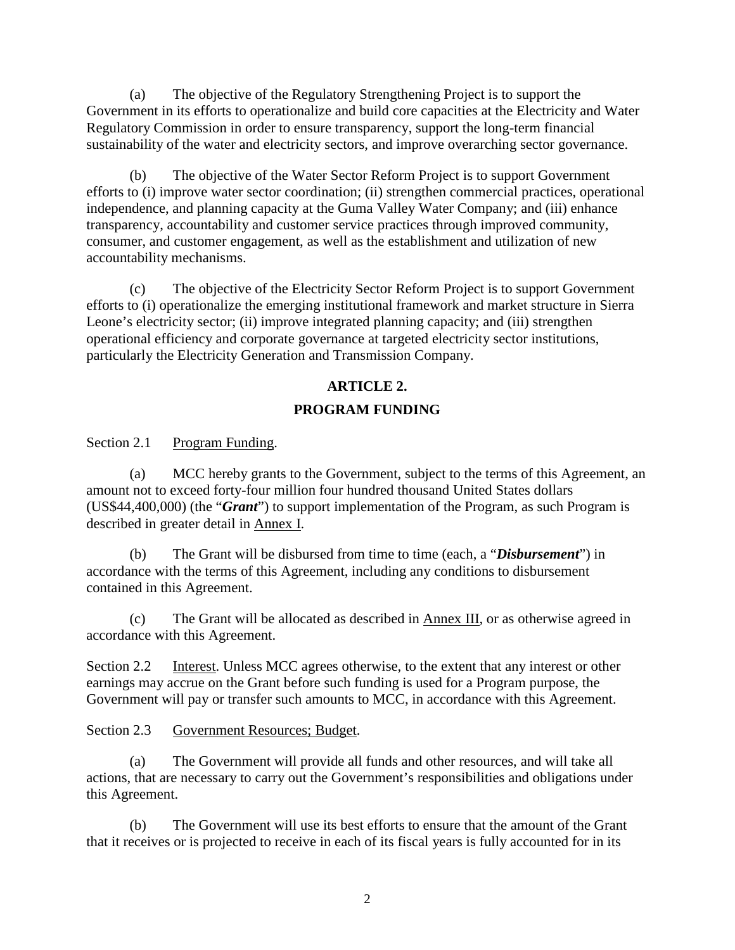(a) The objective of the Regulatory Strengthening Project is to support the Government in its efforts to operationalize and build core capacities at the Electricity and Water Regulatory Commission in order to ensure transparency, support the long-term financial sustainability of the water and electricity sectors, and improve overarching sector governance.

(b) The objective of the Water Sector Reform Project is to support Government efforts to (i) improve water sector coordination; (ii) strengthen commercial practices, operational independence, and planning capacity at the Guma Valley Water Company; and (iii) enhance transparency, accountability and customer service practices through improved community, consumer, and customer engagement, as well as the establishment and utilization of new accountability mechanisms.

(c) The objective of the Electricity Sector Reform Project is to support Government efforts to (i) operationalize the emerging institutional framework and market structure in Sierra Leone's electricity sector; (ii) improve integrated planning capacity; and (iii) strengthen operational efficiency and corporate governance at targeted electricity sector institutions, particularly the Electricity Generation and Transmission Company.

### <span id="page-4-0"></span>**ARTICLE 2.**

### <span id="page-4-1"></span>**PROGRAM FUNDING**

Section 2.1 Program Funding.

(a) MCC hereby grants to the Government, subject to the terms of this Agreement, an amount not to exceed forty-four million four hundred thousand United States dollars (US\$44,400,000) (the "*Grant*") to support implementation of the Program, as such Program is described in greater detail in Annex I.

(b) The Grant will be disbursed from time to time (each, a "*Disbursement*") in accordance with the terms of this Agreement, including any conditions to disbursement contained in this Agreement.

(c) The Grant will be allocated as described in Annex III, or as otherwise agreed in accordance with this Agreement.

<span id="page-4-2"></span>Section 2.2 Interest. Unless MCC agrees otherwise, to the extent that any interest or other earnings may accrue on the Grant before such funding is used for a Program purpose, the Government will pay or transfer such amounts to MCC, in accordance with this Agreement.

<span id="page-4-3"></span>Section 2.3 Government Resources; Budget.

(a) The Government will provide all funds and other resources, and will take all actions, that are necessary to carry out the Government's responsibilities and obligations under this Agreement.

(b) The Government will use its best efforts to ensure that the amount of the Grant that it receives or is projected to receive in each of its fiscal years is fully accounted for in its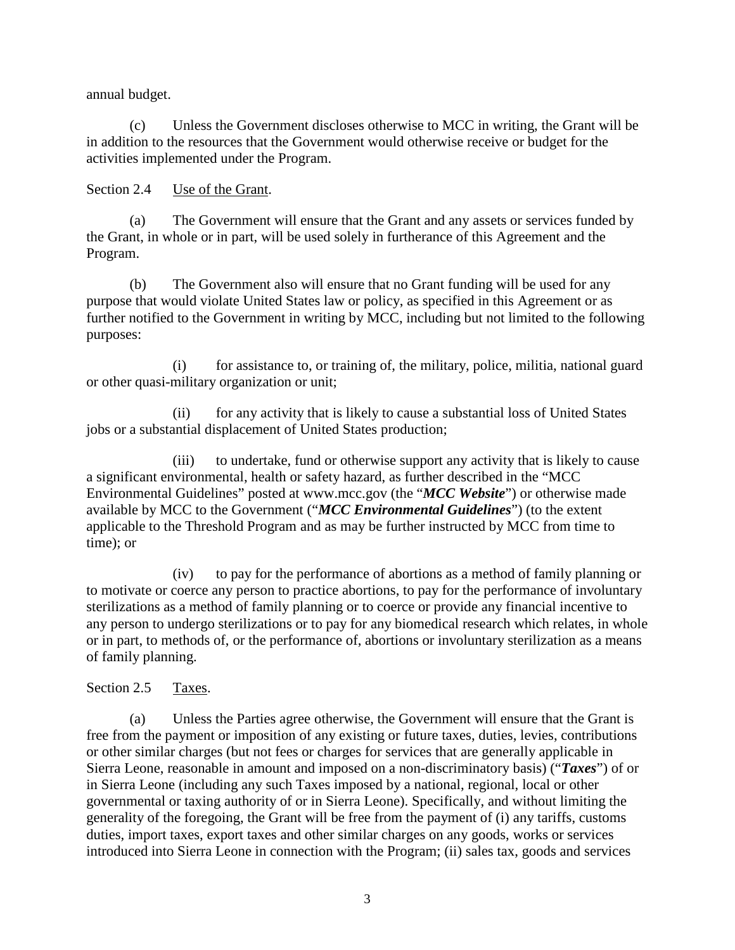annual budget.

(c) Unless the Government discloses otherwise to MCC in writing, the Grant will be in addition to the resources that the Government would otherwise receive or budget for the activities implemented under the Program.

<span id="page-5-0"></span>Section 2.4 Use of the Grant.

(a) The Government will ensure that the Grant and any assets or services funded by the Grant, in whole or in part, will be used solely in furtherance of this Agreement and the Program.

(b) The Government also will ensure that no Grant funding will be used for any purpose that would violate United States law or policy, as specified in this Agreement or as further notified to the Government in writing by MCC, including but not limited to the following purposes:

(i) for assistance to, or training of, the military, police, militia, national guard or other quasi-military organization or unit;

(ii) for any activity that is likely to cause a substantial loss of United States jobs or a substantial displacement of United States production;

(iii) to undertake, fund or otherwise support any activity that is likely to cause a significant environmental, health or safety hazard, as further described in the "MCC Environmental Guidelines" posted at www.mcc.gov (the "*MCC Website*") or otherwise made available by MCC to the Government ("*MCC Environmental Guidelines*") (to the extent applicable to the Threshold Program and as may be further instructed by MCC from time to time); or

(iv) to pay for the performance of abortions as a method of family planning or to motivate or coerce any person to practice abortions, to pay for the performance of involuntary sterilizations as a method of family planning or to coerce or provide any financial incentive to any person to undergo sterilizations or to pay for any biomedical research which relates, in whole or in part, to methods of, or the performance of, abortions or involuntary sterilization as a means of family planning.

<span id="page-5-1"></span>Section 2.5 Taxes.

(a) Unless the Parties agree otherwise, the Government will ensure that the Grant is free from the payment or imposition of any existing or future taxes, duties, levies, contributions or other similar charges (but not fees or charges for services that are generally applicable in Sierra Leone, reasonable in amount and imposed on a non-discriminatory basis) ("*Taxes*") of or in Sierra Leone (including any such Taxes imposed by a national, regional, local or other governmental or taxing authority of or in Sierra Leone). Specifically, and without limiting the generality of the foregoing, the Grant will be free from the payment of (i) any tariffs, customs duties, import taxes, export taxes and other similar charges on any goods, works or services introduced into Sierra Leone in connection with the Program; (ii) sales tax, goods and services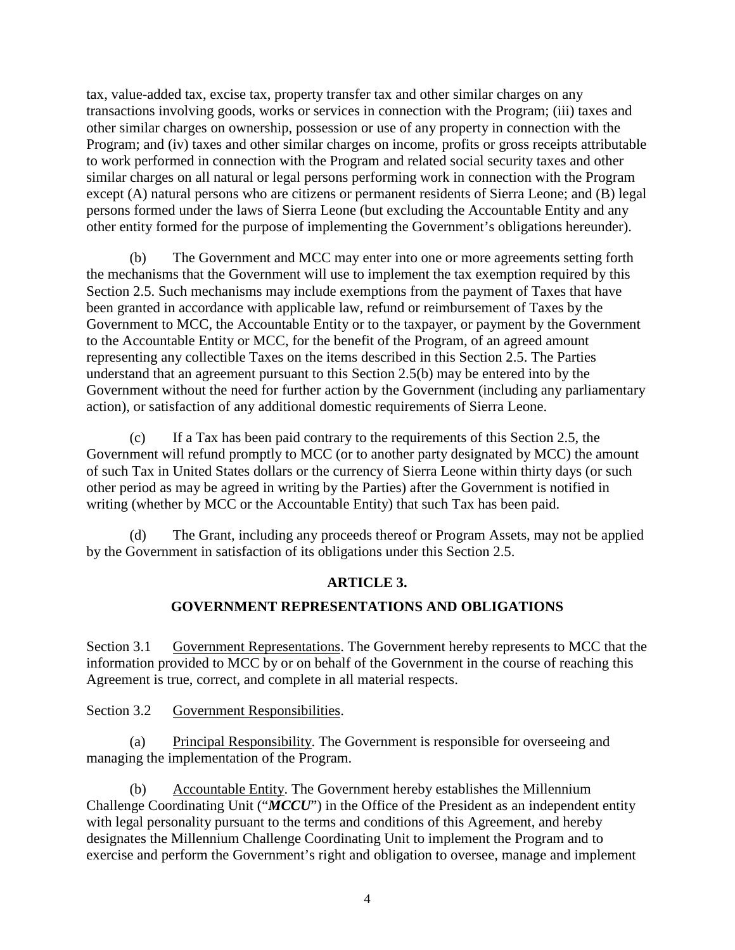tax, value-added tax, excise tax, property transfer tax and other similar charges on any transactions involving goods, works or services in connection with the Program; (iii) taxes and other similar charges on ownership, possession or use of any property in connection with the Program; and (iv) taxes and other similar charges on income, profits or gross receipts attributable to work performed in connection with the Program and related social security taxes and other similar charges on all natural or legal persons performing work in connection with the Program except (A) natural persons who are citizens or permanent residents of Sierra Leone; and (B) legal persons formed under the laws of Sierra Leone (but excluding the Accountable Entity and any other entity formed for the purpose of implementing the Government's obligations hereunder).

(b) The Government and MCC may enter into one or more agreements setting forth the mechanisms that the Government will use to implement the tax exemption required by this Section 2.5. Such mechanisms may include exemptions from the payment of Taxes that have been granted in accordance with applicable law, refund or reimbursement of Taxes by the Government to MCC, the Accountable Entity or to the taxpayer, or payment by the Government to the Accountable Entity or MCC, for the benefit of the Program, of an agreed amount representing any collectible Taxes on the items described in this Section 2.5. The Parties understand that an agreement pursuant to this Section 2.5(b) may be entered into by the Government without the need for further action by the Government (including any parliamentary action), or satisfaction of any additional domestic requirements of Sierra Leone.

(c) If a Tax has been paid contrary to the requirements of this Section 2.5, the Government will refund promptly to MCC (or to another party designated by MCC) the amount of such Tax in United States dollars or the currency of Sierra Leone within thirty days (or such other period as may be agreed in writing by the Parties) after the Government is notified in writing (whether by MCC or the Accountable Entity) that such Tax has been paid.

(d) The Grant, including any proceeds thereof or Program Assets, may not be applied by the Government in satisfaction of its obligations under this Section 2.5.

### <span id="page-6-2"></span><span id="page-6-1"></span><span id="page-6-0"></span>**ARTICLE 3.**

#### **GOVERNMENT REPRESENTATIONS AND OBLIGATIONS**

Section 3.1 Government Representations. The Government hereby represents to MCC that the information provided to MCC by or on behalf of the Government in the course of reaching this Agreement is true, correct, and complete in all material respects.

Section 3.2 Government Responsibilities.

(a) Principal Responsibility. The Government is responsible for overseeing and managing the implementation of the Program.

(b) Accountable Entity. The Government hereby establishes the Millennium Challenge Coordinating Unit ("*MCCU*") in the Office of the President as an independent entity with legal personality pursuant to the terms and conditions of this Agreement, and hereby designates the Millennium Challenge Coordinating Unit to implement the Program and to exercise and perform the Government's right and obligation to oversee, manage and implement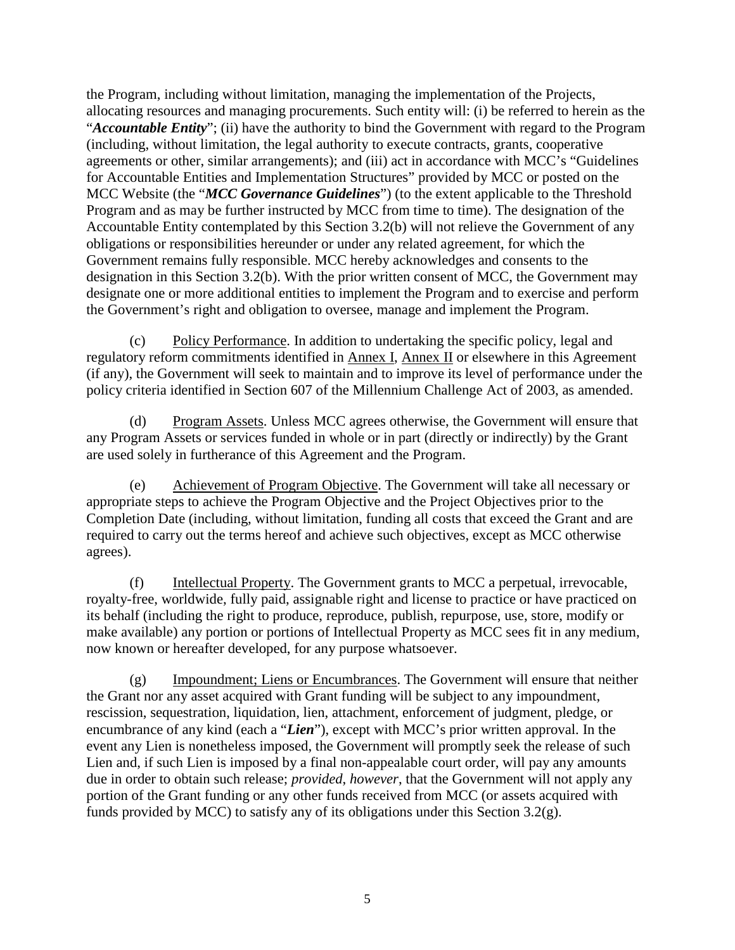the Program, including without limitation, managing the implementation of the Projects, allocating resources and managing procurements. Such entity will: (i) be referred to herein as the "*Accountable Entity*"; (ii) have the authority to bind the Government with regard to the Program (including, without limitation, the legal authority to execute contracts, grants, cooperative agreements or other, similar arrangements); and (iii) act in accordance with MCC's "Guidelines for Accountable Entities and Implementation Structures" provided by MCC or posted on the MCC Website (the "*MCC Governance Guidelines*") (to the extent applicable to the Threshold Program and as may be further instructed by MCC from time to time). The designation of the Accountable Entity contemplated by this Section 3.2(b) will not relieve the Government of any obligations or responsibilities hereunder or under any related agreement, for which the Government remains fully responsible. MCC hereby acknowledges and consents to the designation in this Section 3.2(b). With the prior written consent of MCC, the Government may designate one or more additional entities to implement the Program and to exercise and perform the Government's right and obligation to oversee, manage and implement the Program.

(c) Policy Performance. In addition to undertaking the specific policy, legal and regulatory reform commitments identified in Annex I, Annex II or elsewhere in this Agreement (if any), the Government will seek to maintain and to improve its level of performance under the policy criteria identified in Section 607 of the Millennium Challenge Act of 2003, as amended.

(d) Program Assets. Unless MCC agrees otherwise, the Government will ensure that any Program Assets or services funded in whole or in part (directly or indirectly) by the Grant are used solely in furtherance of this Agreement and the Program.

(e) Achievement of Program Objective. The Government will take all necessary or appropriate steps to achieve the Program Objective and the Project Objectives prior to the Completion Date (including, without limitation, funding all costs that exceed the Grant and are required to carry out the terms hereof and achieve such objectives, except as MCC otherwise agrees).

(f) Intellectual Property. The Government grants to MCC a perpetual, irrevocable, royalty-free, worldwide, fully paid, assignable right and license to practice or have practiced on its behalf (including the right to produce, reproduce, publish, repurpose, use, store, modify or make available) any portion or portions of Intellectual Property as MCC sees fit in any medium, now known or hereafter developed, for any purpose whatsoever.

(g) Impoundment; Liens or Encumbrances. The Government will ensure that neither the Grant nor any asset acquired with Grant funding will be subject to any impoundment, rescission, sequestration, liquidation, lien, attachment, enforcement of judgment, pledge, or encumbrance of any kind (each a "*Lien*"), except with MCC's prior written approval. In the event any Lien is nonetheless imposed, the Government will promptly seek the release of such Lien and, if such Lien is imposed by a final non-appealable court order, will pay any amounts due in order to obtain such release; *provided*, *however*, that the Government will not apply any portion of the Grant funding or any other funds received from MCC (or assets acquired with funds provided by MCC) to satisfy any of its obligations under this Section 3.2(g).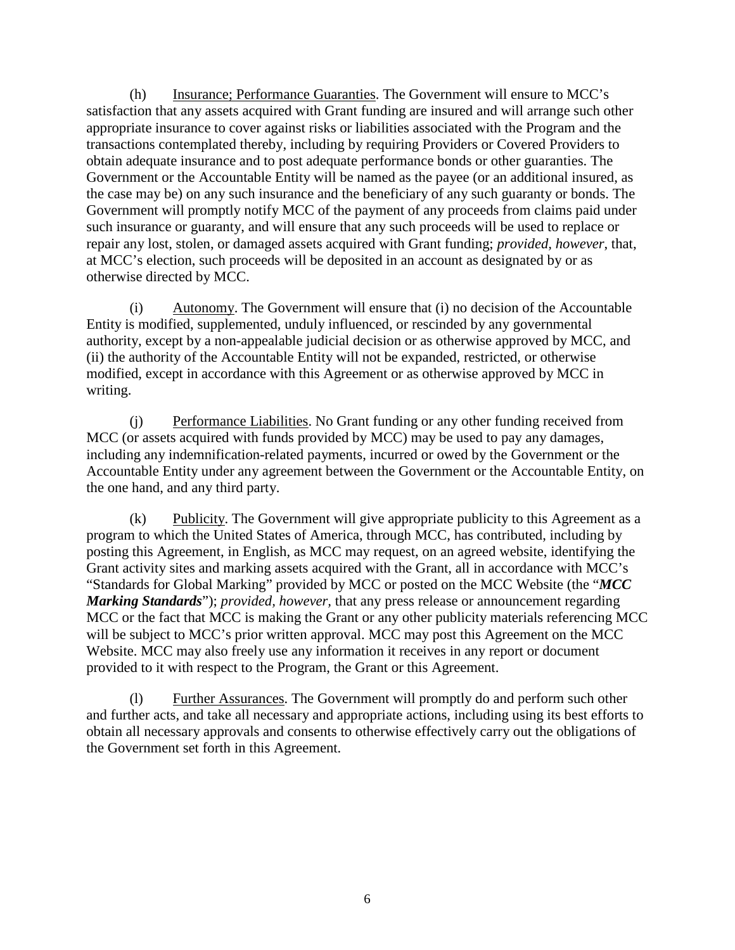(h) Insurance; Performance Guaranties. The Government will ensure to MCC's satisfaction that any assets acquired with Grant funding are insured and will arrange such other appropriate insurance to cover against risks or liabilities associated with the Program and the transactions contemplated thereby, including by requiring Providers or Covered Providers to obtain adequate insurance and to post adequate performance bonds or other guaranties. The Government or the Accountable Entity will be named as the payee (or an additional insured, as the case may be) on any such insurance and the beneficiary of any such guaranty or bonds. The Government will promptly notify MCC of the payment of any proceeds from claims paid under such insurance or guaranty, and will ensure that any such proceeds will be used to replace or repair any lost, stolen, or damaged assets acquired with Grant funding; *provided, however*, that, at MCC's election, such proceeds will be deposited in an account as designated by or as otherwise directed by MCC.

(i) Autonomy. The Government will ensure that (i) no decision of the Accountable Entity is modified, supplemented, unduly influenced, or rescinded by any governmental authority, except by a non-appealable judicial decision or as otherwise approved by MCC, and (ii) the authority of the Accountable Entity will not be expanded, restricted, or otherwise modified, except in accordance with this Agreement or as otherwise approved by MCC in writing.

(j) Performance Liabilities. No Grant funding or any other funding received from MCC (or assets acquired with funds provided by MCC) may be used to pay any damages, including any indemnification-related payments, incurred or owed by the Government or the Accountable Entity under any agreement between the Government or the Accountable Entity, on the one hand, and any third party.

(k) Publicity. The Government will give appropriate publicity to this Agreement as a program to which the United States of America, through MCC, has contributed, including by posting this Agreement, in English, as MCC may request, on an agreed website, identifying the Grant activity sites and marking assets acquired with the Grant, all in accordance with MCC's "Standards for Global Marking" provided by MCC or posted on the MCC Website (the "*MCC Marking Standards*"); *provided, however,* that any press release or announcement regarding MCC or the fact that MCC is making the Grant or any other publicity materials referencing MCC will be subject to MCC's prior written approval. MCC may post this Agreement on the MCC Website. MCC may also freely use any information it receives in any report or document provided to it with respect to the Program, the Grant or this Agreement.

(l) Further Assurances. The Government will promptly do and perform such other and further acts, and take all necessary and appropriate actions, including using its best efforts to obtain all necessary approvals and consents to otherwise effectively carry out the obligations of the Government set forth in this Agreement.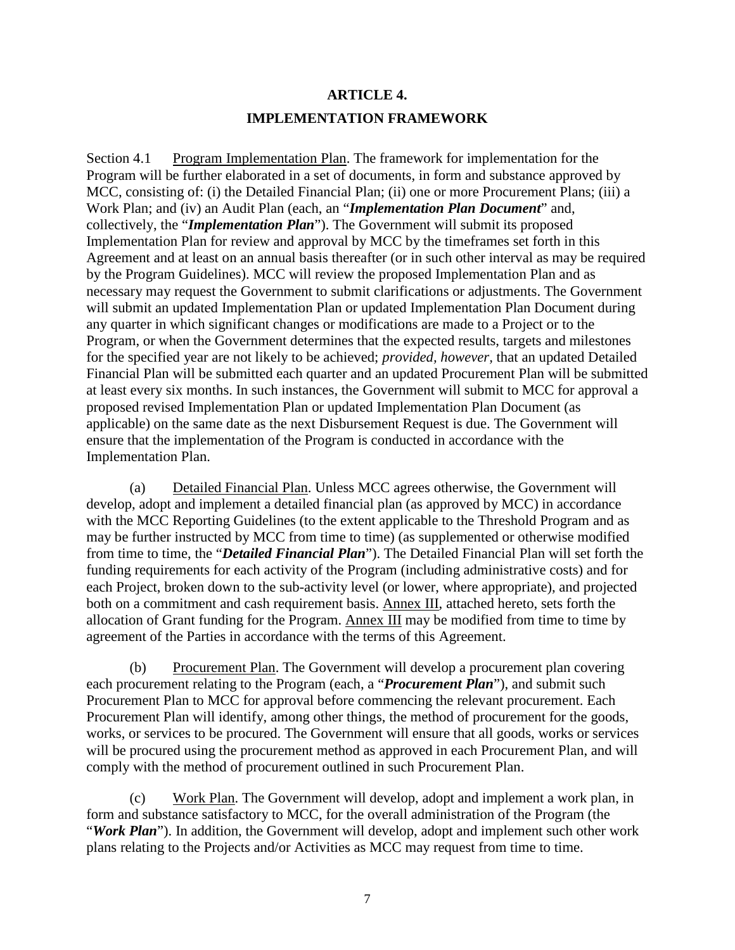# <span id="page-9-1"></span><span id="page-9-0"></span>**ARTICLE 4. IMPLEMENTATION FRAMEWORK**

Section 4.1 Program Implementation Plan. The framework for implementation for the Program will be further elaborated in a set of documents, in form and substance approved by MCC, consisting of: (i) the Detailed Financial Plan; (ii) one or more Procurement Plans; (iii) a Work Plan; and (iv) an Audit Plan (each, an "*Implementation Plan Document*" and, collectively, the "*Implementation Plan*"). The Government will submit its proposed Implementation Plan for review and approval by MCC by the timeframes set forth in this Agreement and at least on an annual basis thereafter (or in such other interval as may be required by the Program Guidelines). MCC will review the proposed Implementation Plan and as necessary may request the Government to submit clarifications or adjustments. The Government will submit an updated Implementation Plan or updated Implementation Plan Document during any quarter in which significant changes or modifications are made to a Project or to the Program, or when the Government determines that the expected results, targets and milestones for the specified year are not likely to be achieved; *provided, however,* that an updated Detailed Financial Plan will be submitted each quarter and an updated Procurement Plan will be submitted at least every six months. In such instances, the Government will submit to MCC for approval a proposed revised Implementation Plan or updated Implementation Plan Document (as applicable) on the same date as the next Disbursement Request is due. The Government will ensure that the implementation of the Program is conducted in accordance with the Implementation Plan.

(a) Detailed Financial Plan. Unless MCC agrees otherwise, the Government will develop, adopt and implement a detailed financial plan (as approved by MCC) in accordance with the MCC Reporting Guidelines (to the extent applicable to the Threshold Program and as may be further instructed by MCC from time to time) (as supplemented or otherwise modified from time to time, the "*Detailed Financial Plan*"). The Detailed Financial Plan will set forth the funding requirements for each activity of the Program (including administrative costs) and for each Project, broken down to the sub-activity level (or lower, where appropriate), and projected both on a commitment and cash requirement basis. Annex III, attached hereto, sets forth the allocation of Grant funding for the Program. Annex III may be modified from time to time by agreement of the Parties in accordance with the terms of this Agreement.

(b) Procurement Plan. The Government will develop a procurement plan covering each procurement relating to the Program (each, a "*Procurement Plan*"), and submit such Procurement Plan to MCC for approval before commencing the relevant procurement. Each Procurement Plan will identify, among other things, the method of procurement for the goods, works, or services to be procured. The Government will ensure that all goods, works or services will be procured using the procurement method as approved in each Procurement Plan, and will comply with the method of procurement outlined in such Procurement Plan.

(c) Work Plan. The Government will develop, adopt and implement a work plan, in form and substance satisfactory to MCC, for the overall administration of the Program (the "*Work Plan*"). In addition, the Government will develop, adopt and implement such other work plans relating to the Projects and/or Activities as MCC may request from time to time.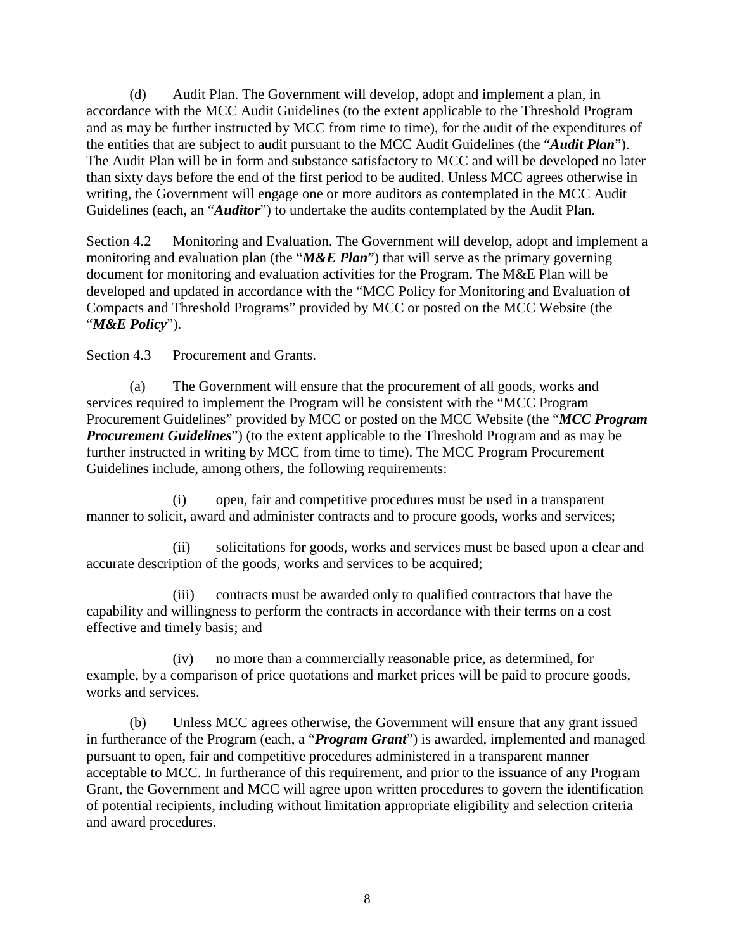(d) Audit Plan. The Government will develop, adopt and implement a plan, in accordance with the MCC Audit Guidelines (to the extent applicable to the Threshold Program and as may be further instructed by MCC from time to time), for the audit of the expenditures of the entities that are subject to audit pursuant to the MCC Audit Guidelines (the "*Audit Plan*"). The Audit Plan will be in form and substance satisfactory to MCC and will be developed no later than sixty days before the end of the first period to be audited. Unless MCC agrees otherwise in writing, the Government will engage one or more auditors as contemplated in the MCC Audit Guidelines (each, an "*Auditor*") to undertake the audits contemplated by the Audit Plan.

<span id="page-10-0"></span>Section 4.2 Monitoring and Evaluation. The Government will develop, adopt and implement a monitoring and evaluation plan (the "*M&E Plan*") that will serve as the primary governing document for monitoring and evaluation activities for the Program. The M&E Plan will be developed and updated in accordance with the "MCC Policy for Monitoring and Evaluation of Compacts and Threshold Programs" provided by MCC or posted on the MCC Website (the "*M&E Policy*").

### <span id="page-10-1"></span>Section 4.3 Procurement and Grants.

(a) The Government will ensure that the procurement of all goods, works and services required to implement the Program will be consistent with the "MCC Program Procurement Guidelines" provided by MCC or posted on the MCC Website (the "*MCC Program Procurement Guidelines*") (to the extent applicable to the Threshold Program and as may be further instructed in writing by MCC from time to time). The MCC Program Procurement Guidelines include, among others, the following requirements:

(i) open, fair and competitive procedures must be used in a transparent manner to solicit, award and administer contracts and to procure goods, works and services;

(ii) solicitations for goods, works and services must be based upon a clear and accurate description of the goods, works and services to be acquired;

(iii) contracts must be awarded only to qualified contractors that have the capability and willingness to perform the contracts in accordance with their terms on a cost effective and timely basis; and

(iv) no more than a commercially reasonable price, as determined, for example, by a comparison of price quotations and market prices will be paid to procure goods, works and services.

(b) Unless MCC agrees otherwise, the Government will ensure that any grant issued in furtherance of the Program (each, a "*Program Grant*") is awarded, implemented and managed pursuant to open, fair and competitive procedures administered in a transparent manner acceptable to MCC. In furtherance of this requirement, and prior to the issuance of any Program Grant, the Government and MCC will agree upon written procedures to govern the identification of potential recipients, including without limitation appropriate eligibility and selection criteria and award procedures.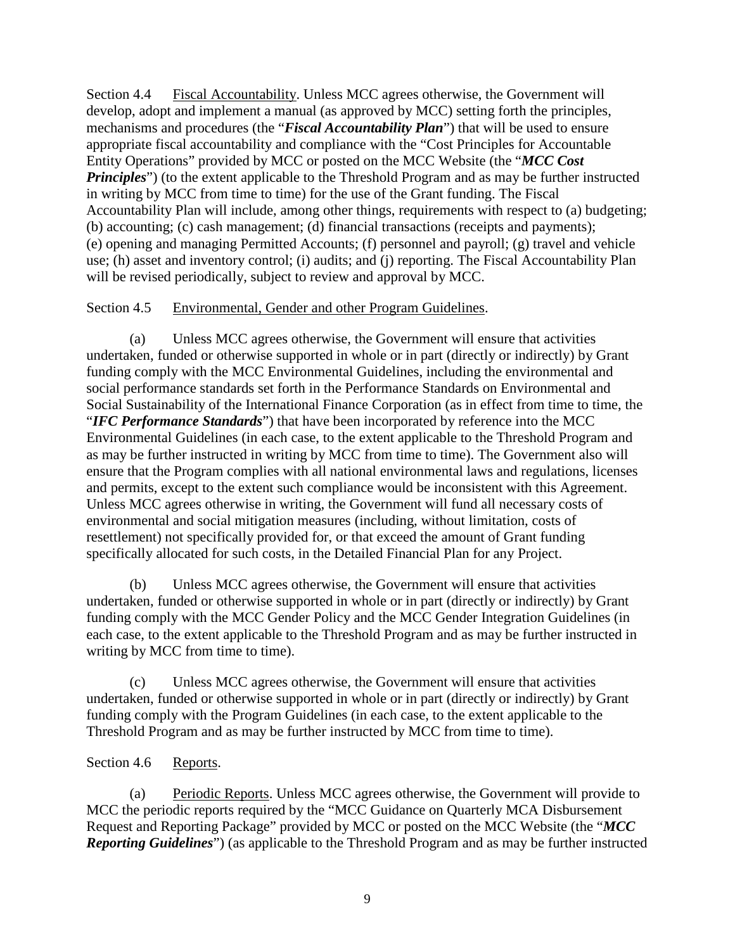<span id="page-11-0"></span>Section 4.4 Fiscal Accountability. Unless MCC agrees otherwise, the Government will develop, adopt and implement a manual (as approved by MCC) setting forth the principles, mechanisms and procedures (the "*Fiscal Accountability Plan*") that will be used to ensure appropriate fiscal accountability and compliance with the "Cost Principles for Accountable Entity Operations" provided by MCC or posted on the MCC Website (the "*MCC Cost Principles*") (to the extent applicable to the Threshold Program and as may be further instructed in writing by MCC from time to time) for the use of the Grant funding. The Fiscal Accountability Plan will include, among other things, requirements with respect to (a) budgeting; (b) accounting; (c) cash management; (d) financial transactions (receipts and payments); (e) opening and managing Permitted Accounts; (f) personnel and payroll; (g) travel and vehicle use; (h) asset and inventory control; (i) audits; and (j) reporting. The Fiscal Accountability Plan will be revised periodically, subject to review and approval by MCC.

### <span id="page-11-1"></span>Section 4.5 Environmental, Gender and other Program Guidelines.

(a) Unless MCC agrees otherwise, the Government will ensure that activities undertaken, funded or otherwise supported in whole or in part (directly or indirectly) by Grant funding comply with the MCC Environmental Guidelines, including the environmental and social performance standards set forth in the Performance Standards on Environmental and Social Sustainability of the International Finance Corporation (as in effect from time to time, the "*IFC Performance Standards*") that have been incorporated by reference into the MCC Environmental Guidelines (in each case, to the extent applicable to the Threshold Program and as may be further instructed in writing by MCC from time to time). The Government also will ensure that the Program complies with all national environmental laws and regulations, licenses and permits, except to the extent such compliance would be inconsistent with this Agreement. Unless MCC agrees otherwise in writing, the Government will fund all necessary costs of environmental and social mitigation measures (including, without limitation, costs of resettlement) not specifically provided for, or that exceed the amount of Grant funding specifically allocated for such costs, in the Detailed Financial Plan for any Project.

(b) Unless MCC agrees otherwise, the Government will ensure that activities undertaken, funded or otherwise supported in whole or in part (directly or indirectly) by Grant funding comply with the MCC Gender Policy and the MCC Gender Integration Guidelines (in each case, to the extent applicable to the Threshold Program and as may be further instructed in writing by MCC from time to time).

(c) Unless MCC agrees otherwise, the Government will ensure that activities undertaken, funded or otherwise supported in whole or in part (directly or indirectly) by Grant funding comply with the Program Guidelines (in each case, to the extent applicable to the Threshold Program and as may be further instructed by MCC from time to time).

#### <span id="page-11-2"></span>Section 4.6 Reports.

(a) Periodic Reports. Unless MCC agrees otherwise, the Government will provide to MCC the periodic reports required by the "MCC Guidance on Quarterly MCA Disbursement Request and Reporting Package" provided by MCC or posted on the MCC Website (the "*MCC Reporting Guidelines*") (as applicable to the Threshold Program and as may be further instructed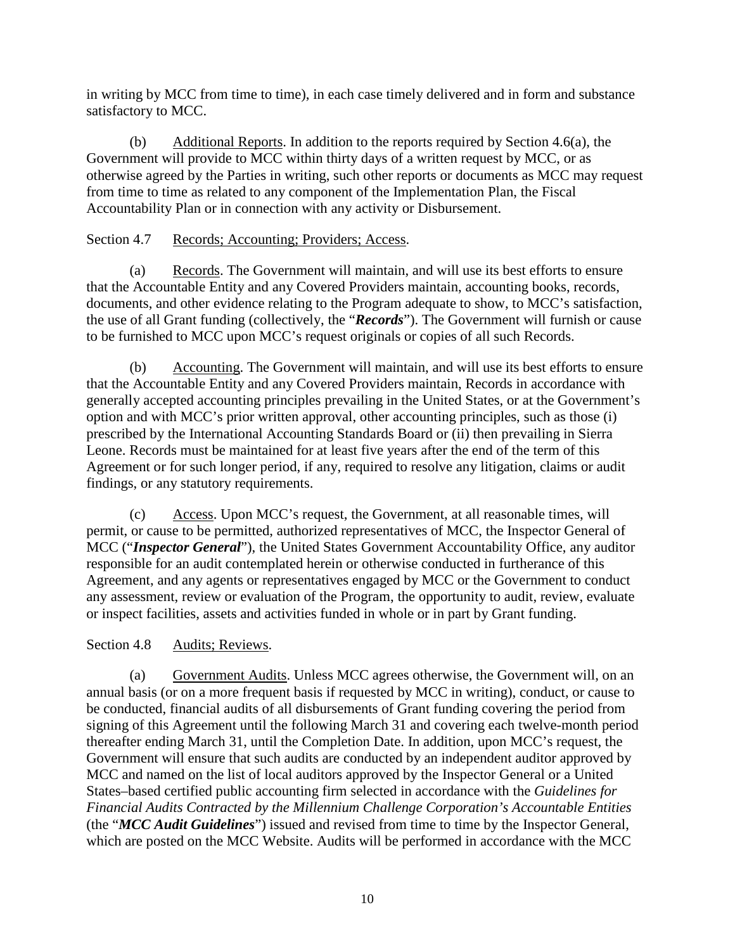in writing by MCC from time to time), in each case timely delivered and in form and substance satisfactory to MCC.

(b) Additional Reports. In addition to the reports required by Section 4.6(a), the Government will provide to MCC within thirty days of a written request by MCC, or as otherwise agreed by the Parties in writing, such other reports or documents as MCC may request from time to time as related to any component of the Implementation Plan, the Fiscal Accountability Plan or in connection with any activity or Disbursement.

#### <span id="page-12-0"></span>Section 4.7 Records; Accounting; Providers; Access.

(a) Records. The Government will maintain, and will use its best efforts to ensure that the Accountable Entity and any Covered Providers maintain, accounting books, records, documents, and other evidence relating to the Program adequate to show, to MCC's satisfaction, the use of all Grant funding (collectively, the "*Records*"). The Government will furnish or cause to be furnished to MCC upon MCC's request originals or copies of all such Records.

(b) Accounting. The Government will maintain, and will use its best efforts to ensure that the Accountable Entity and any Covered Providers maintain, Records in accordance with generally accepted accounting principles prevailing in the United States, or at the Government's option and with MCC's prior written approval, other accounting principles, such as those (i) prescribed by the International Accounting Standards Board or (ii) then prevailing in Sierra Leone. Records must be maintained for at least five years after the end of the term of this Agreement or for such longer period, if any, required to resolve any litigation, claims or audit findings, or any statutory requirements.

 $(c)$  Access. Upon MCC's request, the Government, at all reasonable times, will permit, or cause to be permitted, authorized representatives of MCC, the Inspector General of MCC ("*Inspector General*"), the United States Government Accountability Office, any auditor responsible for an audit contemplated herein or otherwise conducted in furtherance of this Agreement, and any agents or representatives engaged by MCC or the Government to conduct any assessment, review or evaluation of the Program, the opportunity to audit, review, evaluate or inspect facilities, assets and activities funded in whole or in part by Grant funding.

### <span id="page-12-1"></span>Section 4.8 Audits; Reviews.

(a) Government Audits. Unless MCC agrees otherwise, the Government will, on an annual basis (or on a more frequent basis if requested by MCC in writing), conduct, or cause to be conducted, financial audits of all disbursements of Grant funding covering the period from signing of this Agreement until the following March 31 and covering each twelve-month period thereafter ending March 31, until the Completion Date. In addition, upon MCC's request, the Government will ensure that such audits are conducted by an independent auditor approved by MCC and named on the list of local auditors approved by the Inspector General or a United States–based certified public accounting firm selected in accordance with the *Guidelines for Financial Audits Contracted by the Millennium Challenge Corporation's Accountable Entities* (the "*MCC Audit Guidelines*") issued and revised from time to time by the Inspector General, which are posted on the MCC Website. Audits will be performed in accordance with the MCC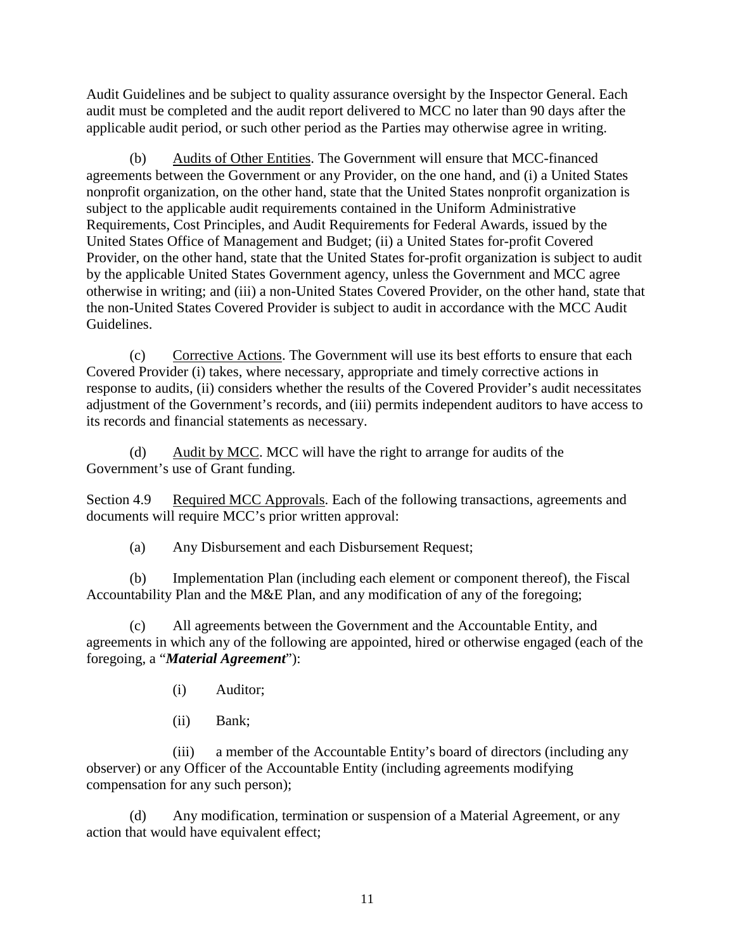Audit Guidelines and be subject to quality assurance oversight by the Inspector General. Each audit must be completed and the audit report delivered to MCC no later than 90 days after the applicable audit period, or such other period as the Parties may otherwise agree in writing.

(b) Audits of Other Entities. The Government will ensure that MCC-financed agreements between the Government or any Provider, on the one hand, and (i) a United States nonprofit organization, on the other hand, state that the United States nonprofit organization is subject to the applicable audit requirements contained in the Uniform Administrative Requirements, Cost Principles, and Audit Requirements for Federal Awards, issued by the United States Office of Management and Budget; (ii) a United States for-profit Covered Provider, on the other hand, state that the United States for-profit organization is subject to audit by the applicable United States Government agency, unless the Government and MCC agree otherwise in writing; and (iii) a non-United States Covered Provider, on the other hand, state that the non-United States Covered Provider is subject to audit in accordance with the MCC Audit Guidelines.

(c) Corrective Actions. The Government will use its best efforts to ensure that each Covered Provider (i) takes, where necessary, appropriate and timely corrective actions in response to audits, (ii) considers whether the results of the Covered Provider's audit necessitates adjustment of the Government's records, and (iii) permits independent auditors to have access to its records and financial statements as necessary.

(d)  $\Delta u \text{d} u$  Audit by MCC. MCC will have the right to arrange for audits of the Government's use of Grant funding.

Section 4.9 Required MCC Approvals. Each of the following transactions, agreements and documents will require MCC's prior written approval:

<span id="page-13-0"></span>(a) Any Disbursement and each Disbursement Request;

(b) Implementation Plan (including each element or component thereof), the Fiscal Accountability Plan and the M&E Plan, and any modification of any of the foregoing;

(c) All agreements between the Government and the Accountable Entity, and agreements in which any of the following are appointed, hired or otherwise engaged (each of the foregoing, a "*Material Agreement*"):

- (i) Auditor;
- (ii) Bank;

(iii) a member of the Accountable Entity's board of directors (including any observer) or any Officer of the Accountable Entity (including agreements modifying compensation for any such person);

(d) Any modification, termination or suspension of a Material Agreement, or any action that would have equivalent effect;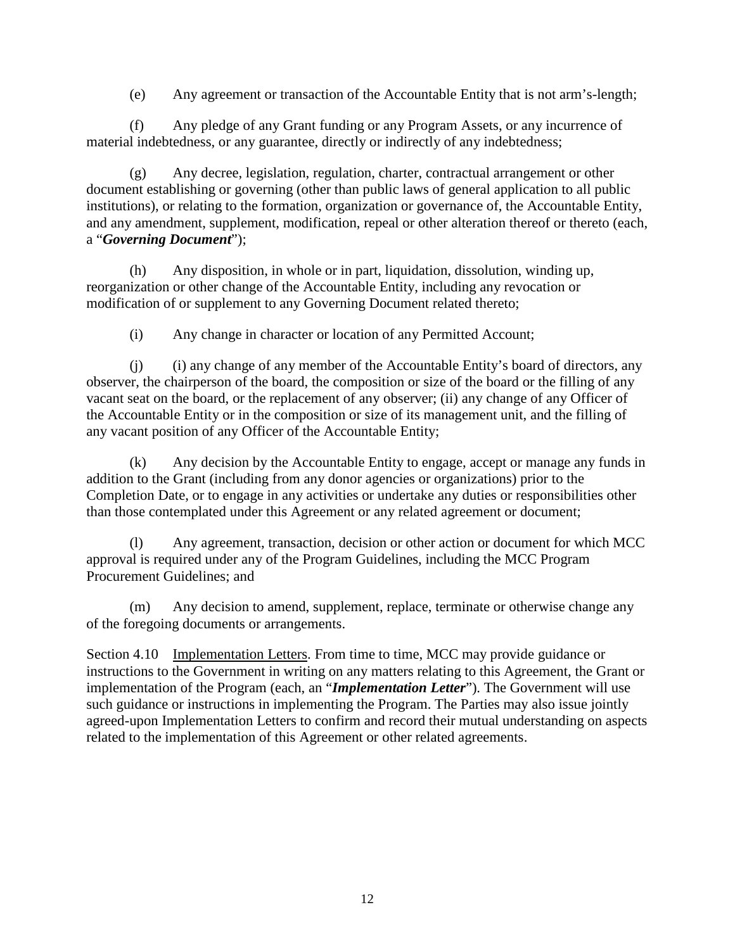(e) Any agreement or transaction of the Accountable Entity that is not arm's-length;

(f) Any pledge of any Grant funding or any Program Assets, or any incurrence of material indebtedness, or any guarantee, directly or indirectly of any indebtedness;

(g) Any decree, legislation, regulation, charter, contractual arrangement or other document establishing or governing (other than public laws of general application to all public institutions), or relating to the formation, organization or governance of, the Accountable Entity, and any amendment, supplement, modification, repeal or other alteration thereof or thereto (each, a "*Governing Document*");

(h) Any disposition, in whole or in part, liquidation, dissolution, winding up, reorganization or other change of the Accountable Entity, including any revocation or modification of or supplement to any Governing Document related thereto;

(i) Any change in character or location of any Permitted Account;

(j) (i) any change of any member of the Accountable Entity's board of directors, any observer, the chairperson of the board, the composition or size of the board or the filling of any vacant seat on the board, or the replacement of any observer; (ii) any change of any Officer of the Accountable Entity or in the composition or size of its management unit, and the filling of any vacant position of any Officer of the Accountable Entity;

(k) Any decision by the Accountable Entity to engage, accept or manage any funds in addition to the Grant (including from any donor agencies or organizations) prior to the Completion Date, or to engage in any activities or undertake any duties or responsibilities other than those contemplated under this Agreement or any related agreement or document;

(l) Any agreement, transaction, decision or other action or document for which MCC approval is required under any of the Program Guidelines, including the MCC Program Procurement Guidelines; and

(m) Any decision to amend, supplement, replace, terminate or otherwise change any of the foregoing documents or arrangements.

<span id="page-14-0"></span>Section 4.10 Implementation Letters. From time to time, MCC may provide guidance or instructions to the Government in writing on any matters relating to this Agreement, the Grant or implementation of the Program (each, an "*Implementation Letter*"). The Government will use such guidance or instructions in implementing the Program. The Parties may also issue jointly agreed-upon Implementation Letters to confirm and record their mutual understanding on aspects related to the implementation of this Agreement or other related agreements.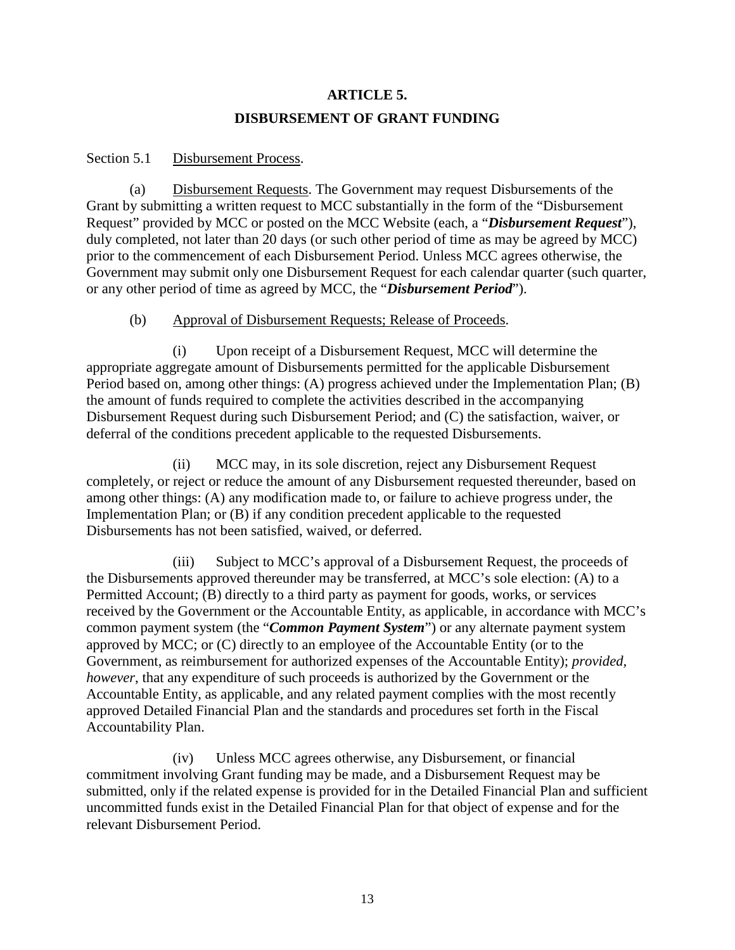# <span id="page-15-1"></span><span id="page-15-0"></span>**ARTICLE 5. DISBURSEMENT OF GRANT FUNDING**

#### Section 5.1 Disbursement Process.

(a) Disbursement Requests. The Government may request Disbursements of the Grant by submitting a written request to MCC substantially in the form of the "Disbursement Request" provided by MCC or posted on the MCC Website (each, a "*Disbursement Request*"), duly completed, not later than 20 days (or such other period of time as may be agreed by MCC) prior to the commencement of each Disbursement Period. Unless MCC agrees otherwise, the Government may submit only one Disbursement Request for each calendar quarter (such quarter, or any other period of time as agreed by MCC, the "*Disbursement Period*").

#### (b) Approval of Disbursement Requests; Release of Proceeds.

(i) Upon receipt of a Disbursement Request, MCC will determine the appropriate aggregate amount of Disbursements permitted for the applicable Disbursement Period based on, among other things: (A) progress achieved under the Implementation Plan; (B) the amount of funds required to complete the activities described in the accompanying Disbursement Request during such Disbursement Period; and (C) the satisfaction, waiver, or deferral of the conditions precedent applicable to the requested Disbursements.

(ii) MCC may, in its sole discretion, reject any Disbursement Request completely, or reject or reduce the amount of any Disbursement requested thereunder, based on among other things: (A) any modification made to, or failure to achieve progress under, the Implementation Plan; or (B) if any condition precedent applicable to the requested Disbursements has not been satisfied, waived, or deferred.

(iii) Subject to MCC's approval of a Disbursement Request, the proceeds of the Disbursements approved thereunder may be transferred, at MCC's sole election: (A) to a Permitted Account; (B) directly to a third party as payment for goods, works, or services received by the Government or the Accountable Entity, as applicable, in accordance with MCC's common payment system (the "*Common Payment System*") or any alternate payment system approved by MCC; or (C) directly to an employee of the Accountable Entity (or to the Government, as reimbursement for authorized expenses of the Accountable Entity); *provided, however*, that any expenditure of such proceeds is authorized by the Government or the Accountable Entity, as applicable, and any related payment complies with the most recently approved Detailed Financial Plan and the standards and procedures set forth in the Fiscal Accountability Plan.

(iv) Unless MCC agrees otherwise, any Disbursement, or financial commitment involving Grant funding may be made, and a Disbursement Request may be submitted, only if the related expense is provided for in the Detailed Financial Plan and sufficient uncommitted funds exist in the Detailed Financial Plan for that object of expense and for the relevant Disbursement Period.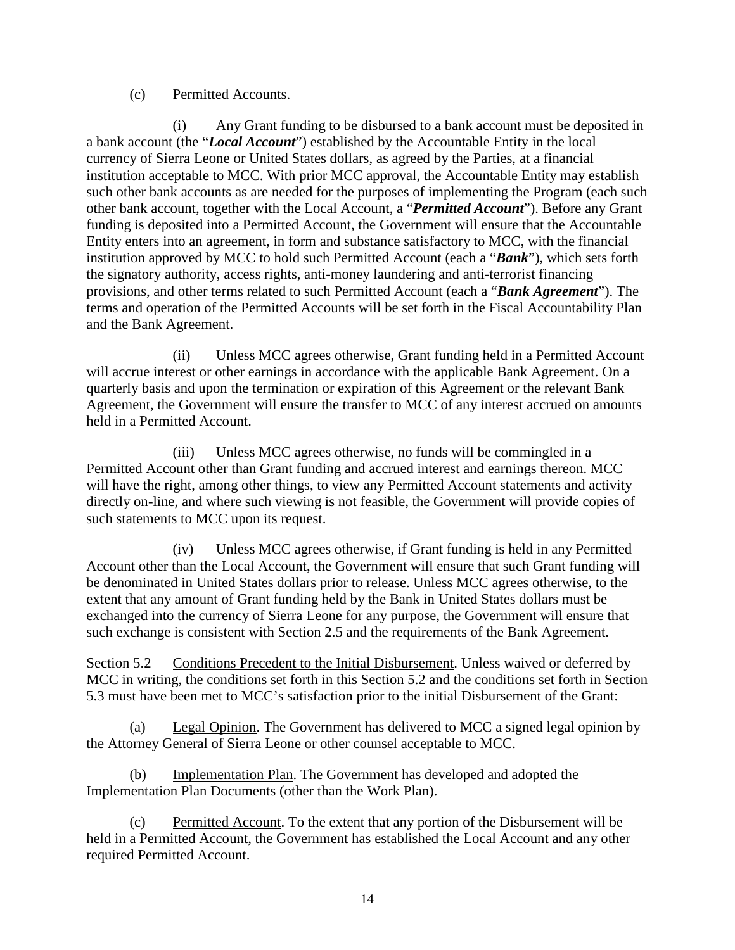#### (c) Permitted Accounts.

(i) Any Grant funding to be disbursed to a bank account must be deposited in a bank account (the "*Local Account*") established by the Accountable Entity in the local currency of Sierra Leone or United States dollars, as agreed by the Parties, at a financial institution acceptable to MCC. With prior MCC approval, the Accountable Entity may establish such other bank accounts as are needed for the purposes of implementing the Program (each such other bank account, together with the Local Account, a "*Permitted Account*"). Before any Grant funding is deposited into a Permitted Account, the Government will ensure that the Accountable Entity enters into an agreement, in form and substance satisfactory to MCC, with the financial institution approved by MCC to hold such Permitted Account (each a "*Bank*"), which sets forth the signatory authority, access rights, anti-money laundering and anti-terrorist financing provisions, and other terms related to such Permitted Account (each a "*Bank Agreement*"). The terms and operation of the Permitted Accounts will be set forth in the Fiscal Accountability Plan and the Bank Agreement.

(ii) Unless MCC agrees otherwise, Grant funding held in a Permitted Account will accrue interest or other earnings in accordance with the applicable Bank Agreement. On a quarterly basis and upon the termination or expiration of this Agreement or the relevant Bank Agreement, the Government will ensure the transfer to MCC of any interest accrued on amounts held in a Permitted Account.

(iii) Unless MCC agrees otherwise, no funds will be commingled in a Permitted Account other than Grant funding and accrued interest and earnings thereon. MCC will have the right, among other things, to view any Permitted Account statements and activity directly on-line, and where such viewing is not feasible, the Government will provide copies of such statements to MCC upon its request.

(iv) Unless MCC agrees otherwise, if Grant funding is held in any Permitted Account other than the Local Account, the Government will ensure that such Grant funding will be denominated in United States dollars prior to release. Unless MCC agrees otherwise, to the extent that any amount of Grant funding held by the Bank in United States dollars must be exchanged into the currency of Sierra Leone for any purpose, the Government will ensure that such exchange is consistent with Section 2.5 and the requirements of the Bank Agreement.

<span id="page-16-0"></span>Section 5.2 Conditions Precedent to the Initial Disbursement. Unless waived or deferred by MCC in writing, the conditions set forth in this Section 5.2 and the conditions set forth in Section 5.3 must have been met to MCC's satisfaction prior to the initial Disbursement of the Grant:

(a) Legal Opinion. The Government has delivered to MCC a signed legal opinion by the Attorney General of Sierra Leone or other counsel acceptable to MCC.

(b) Implementation Plan. The Government has developed and adopted the Implementation Plan Documents (other than the Work Plan).

(c) Permitted Account. To the extent that any portion of the Disbursement will be held in a Permitted Account, the Government has established the Local Account and any other required Permitted Account.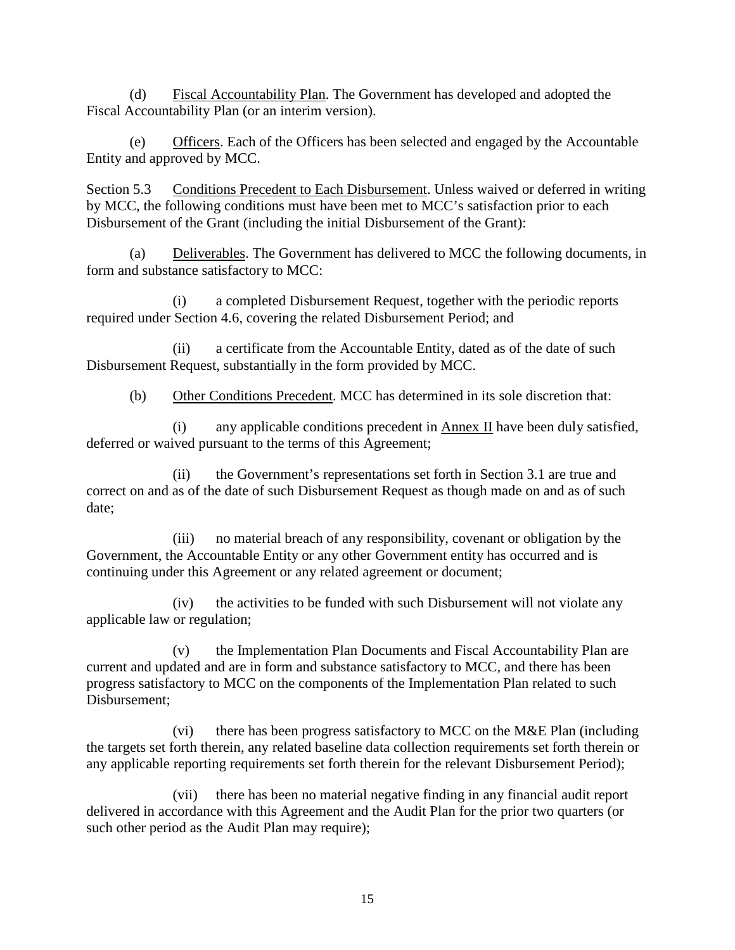(d) Fiscal Accountability Plan. The Government has developed and adopted the Fiscal Accountability Plan (or an interim version).

(e) Officers. Each of the Officers has been selected and engaged by the Accountable Entity and approved by MCC.

<span id="page-17-0"></span>Section 5.3 Conditions Precedent to Each Disbursement. Unless waived or deferred in writing by MCC, the following conditions must have been met to MCC's satisfaction prior to each Disbursement of the Grant (including the initial Disbursement of the Grant):

(a) Deliverables. The Government has delivered to MCC the following documents, in form and substance satisfactory to MCC:

(i) a completed Disbursement Request, together with the periodic reports required under Section 4.6, covering the related Disbursement Period; and

(ii) a certificate from the Accountable Entity, dated as of the date of such Disbursement Request, substantially in the form provided by MCC.

(b) Other Conditions Precedent. MCC has determined in its sole discretion that:

(i) any applicable conditions precedent in Annex II have been duly satisfied, deferred or waived pursuant to the terms of this Agreement;

(ii) the Government's representations set forth in Section 3.1 are true and correct on and as of the date of such Disbursement Request as though made on and as of such date;

(iii) no material breach of any responsibility, covenant or obligation by the Government, the Accountable Entity or any other Government entity has occurred and is continuing under this Agreement or any related agreement or document;

(iv) the activities to be funded with such Disbursement will not violate any applicable law or regulation;

(v) the Implementation Plan Documents and Fiscal Accountability Plan are current and updated and are in form and substance satisfactory to MCC, and there has been progress satisfactory to MCC on the components of the Implementation Plan related to such Disbursement;

(vi) there has been progress satisfactory to MCC on the M&E Plan (including the targets set forth therein, any related baseline data collection requirements set forth therein or any applicable reporting requirements set forth therein for the relevant Disbursement Period);

(vii) there has been no material negative finding in any financial audit report delivered in accordance with this Agreement and the Audit Plan for the prior two quarters (or such other period as the Audit Plan may require);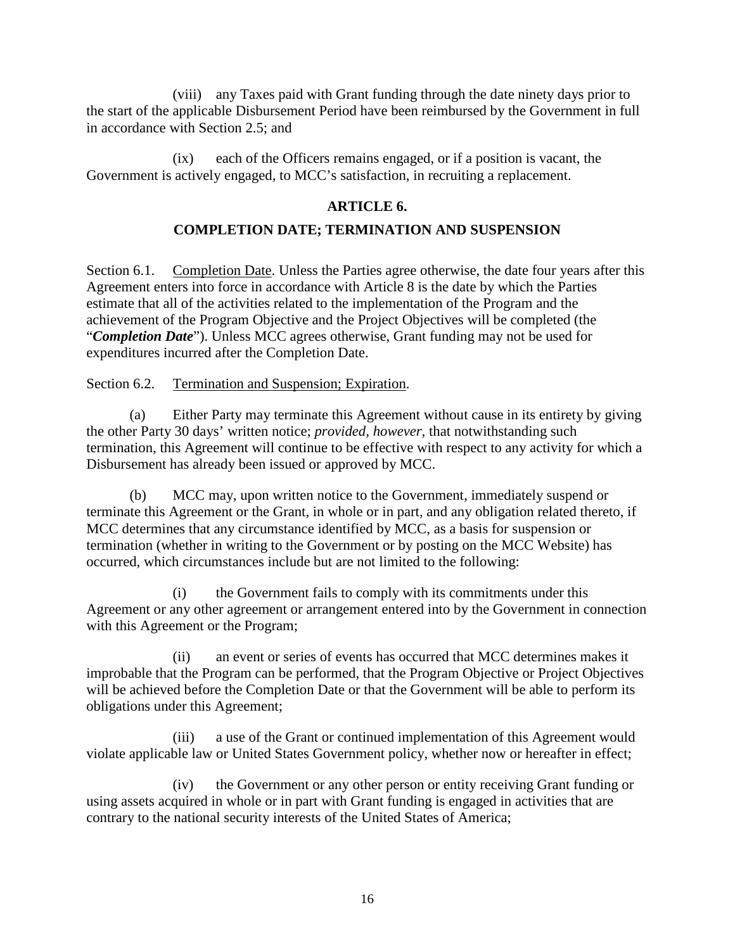(viii) any Taxes paid with Grant funding through the date ninety days prior to the start of the applicable Disbursement Period have been reimbursed by the Government in full in accordance with Section 2.5; and

(ix) each of the Officers remains engaged, or if a position is vacant, the Government is actively engaged, to MCC's satisfaction, in recruiting a replacement.

### <span id="page-18-2"></span><span id="page-18-1"></span><span id="page-18-0"></span>**ARTICLE 6.**

### **COMPLETION DATE; TERMINATION AND SUSPENSION**

Section 6.1. Completion Date. Unless the Parties agree otherwise, the date four years after this Agreement enters into force in accordance with Article 8 is the date by which the Parties estimate that all of the activities related to the implementation of the Program and the achievement of the Program Objective and the Project Objectives will be completed (the "*Completion Date*"). Unless MCC agrees otherwise, Grant funding may not be used for expenditures incurred after the Completion Date.

<span id="page-18-3"></span>Section 6.2. Termination and Suspension; Expiration.

(a) Either Party may terminate this Agreement without cause in its entirety by giving the other Party 30 days' written notice; *provided, however,* that notwithstanding such termination, this Agreement will continue to be effective with respect to any activity for which a Disbursement has already been issued or approved by MCC.

(b) MCC may, upon written notice to the Government, immediately suspend or terminate this Agreement or the Grant, in whole or in part, and any obligation related thereto, if MCC determines that any circumstance identified by MCC, as a basis for suspension or termination (whether in writing to the Government or by posting on the MCC Website) has occurred, which circumstances include but are not limited to the following:

(i) the Government fails to comply with its commitments under this Agreement or any other agreement or arrangement entered into by the Government in connection with this Agreement or the Program;

(ii) an event or series of events has occurred that MCC determines makes it improbable that the Program can be performed, that the Program Objective or Project Objectives will be achieved before the Completion Date or that the Government will be able to perform its obligations under this Agreement;

(iii) a use of the Grant or continued implementation of this Agreement would violate applicable law or United States Government policy, whether now or hereafter in effect;

(iv) the Government or any other person or entity receiving Grant funding or using assets acquired in whole or in part with Grant funding is engaged in activities that are contrary to the national security interests of the United States of America;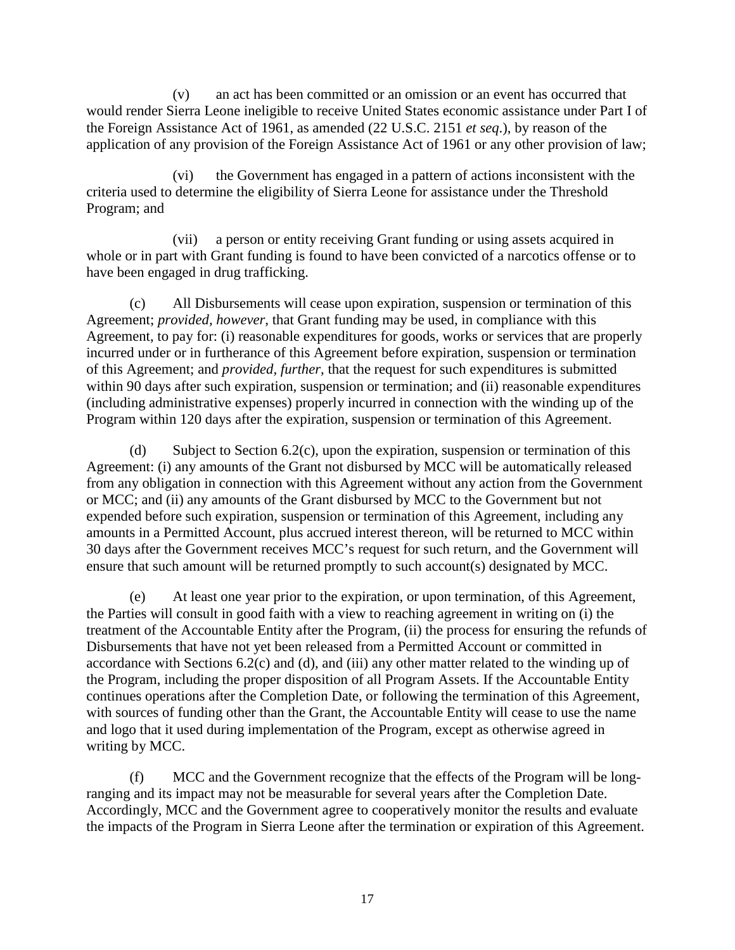(v) an act has been committed or an omission or an event has occurred that would render Sierra Leone ineligible to receive United States economic assistance under Part I of the Foreign Assistance Act of 1961, as amended (22 U.S.C. 2151 *et seq*.), by reason of the application of any provision of the Foreign Assistance Act of 1961 or any other provision of law;

(vi) the Government has engaged in a pattern of actions inconsistent with the criteria used to determine the eligibility of Sierra Leone for assistance under the Threshold Program; and

(vii) a person or entity receiving Grant funding or using assets acquired in whole or in part with Grant funding is found to have been convicted of a narcotics offense or to have been engaged in drug trafficking.

(c) All Disbursements will cease upon expiration, suspension or termination of this Agreement; *provided, however*, that Grant funding may be used, in compliance with this Agreement, to pay for: (i) reasonable expenditures for goods, works or services that are properly incurred under or in furtherance of this Agreement before expiration, suspension or termination of this Agreement; and *provided, further,* that the request for such expenditures is submitted within 90 days after such expiration, suspension or termination; and (ii) reasonable expenditures (including administrative expenses) properly incurred in connection with the winding up of the Program within 120 days after the expiration, suspension or termination of this Agreement.

(d) Subject to [Section 6.2\(](#page-18-3)c), upon the expiration, suspension or termination of this Agreement: (i) any amounts of the Grant not disbursed by MCC will be automatically released from any obligation in connection with this Agreement without any action from the Government or MCC; and (ii) any amounts of the Grant disbursed by MCC to the Government but not expended before such expiration, suspension or termination of this Agreement, including any amounts in a Permitted Account, plus accrued interest thereon, will be returned to MCC within 30 days after the Government receives MCC's request for such return, and the Government will ensure that such amount will be returned promptly to such account(s) designated by MCC.

(e) At least one year prior to the expiration, or upon termination, of this Agreement, the Parties will consult in good faith with a view to reaching agreement in writing on (i) the treatment of the Accountable Entity after the Program, (ii) the process for ensuring the refunds of Disbursements that have not yet been released from a Permitted Account or committed in accordance with Sections 6.2(c) and (d), and (iii) any other matter related to the winding up of the Program, including the proper disposition of all Program Assets. If the Accountable Entity continues operations after the Completion Date, or following the termination of this Agreement, with sources of funding other than the Grant, the Accountable Entity will cease to use the name and logo that it used during implementation of the Program, except as otherwise agreed in writing by MCC.

(f) MCC and the Government recognize that the effects of the Program will be longranging and its impact may not be measurable for several years after the Completion Date. Accordingly, MCC and the Government agree to cooperatively monitor the results and evaluate the impacts of the Program in Sierra Leone after the termination or expiration of this Agreement.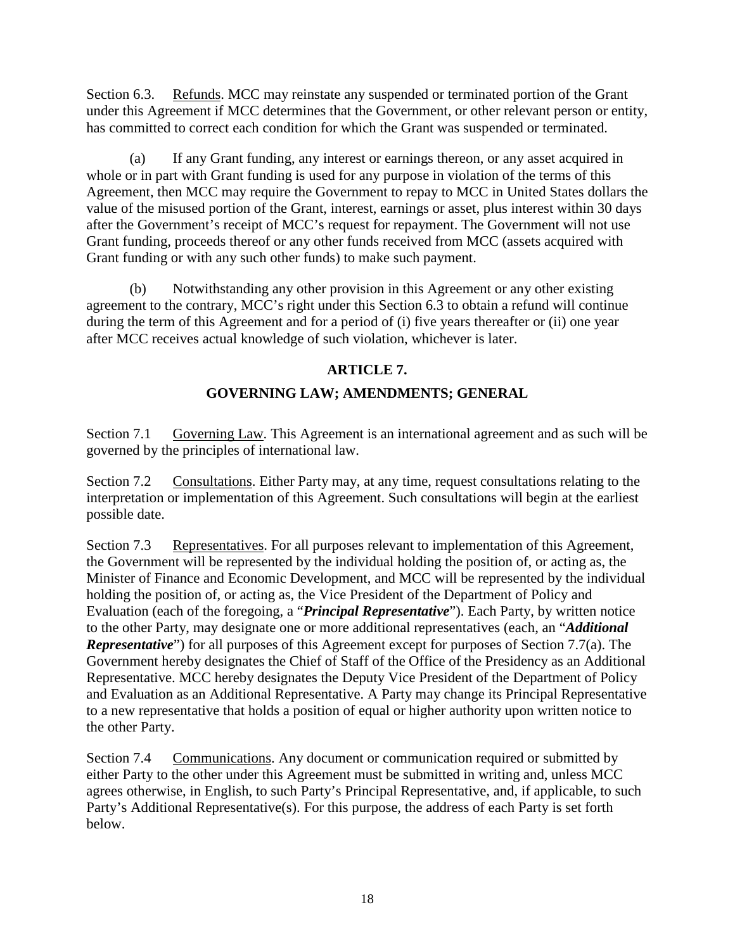<span id="page-20-0"></span>Section 6.3. Refunds. MCC may reinstate any suspended or terminated portion of the Grant under this Agreement if MCC determines that the Government, or other relevant person or entity, has committed to correct each condition for which the Grant was suspended or terminated.

(a) If any Grant funding, any interest or earnings thereon, or any asset acquired in whole or in part with Grant funding is used for any purpose in violation of the terms of this Agreement, then MCC may require the Government to repay to MCC in United States dollars the value of the misused portion of the Grant, interest, earnings or asset, plus interest within 30 days after the Government's receipt of MCC's request for repayment. The Government will not use Grant funding, proceeds thereof or any other funds received from MCC (assets acquired with Grant funding or with any such other funds) to make such payment.

(b) Notwithstanding any other provision in this Agreement or any other existing agreement to the contrary, MCC's right under this Section 6.3 to obtain a refund will continue during the term of this Agreement and for a period of (i) five years thereafter or (ii) one year after MCC receives actual knowledge of such violation, whichever is later.

# <span id="page-20-1"></span>**ARTICLE 7.**

# <span id="page-20-4"></span><span id="page-20-3"></span><span id="page-20-2"></span>**GOVERNING LAW; AMENDMENTS; GENERAL**

Section 7.1 Governing Law. This Agreement is an international agreement and as such will be governed by the principles of international law.

Section 7.2 Consultations. Either Party may, at any time, request consultations relating to the interpretation or implementation of this Agreement. Such consultations will begin at the earliest possible date.

Section 7.3 Representatives. For all purposes relevant to implementation of this Agreement, the Government will be represented by the individual holding the position of, or acting as, the Minister of Finance and Economic Development, and MCC will be represented by the individual holding the position of, or acting as, the Vice President of the Department of Policy and Evaluation (each of the foregoing, a "*Principal Representative*"). Each Party, by written notice to the other Party, may designate one or more additional representatives (each, an "*Additional Representative*") for all purposes of this Agreement except for purposes of Section 7.7(a). The Government hereby designates the Chief of Staff of the Office of the Presidency as an Additional Representative. MCC hereby designates the Deputy Vice President of the Department of Policy and Evaluation as an Additional Representative. A Party may change its Principal Representative to a new representative that holds a position of equal or higher authority upon written notice to the other Party.

<span id="page-20-5"></span>Section 7.4 Communications. Any document or communication required or submitted by either Party to the other under this Agreement must be submitted in writing and, unless MCC agrees otherwise, in English, to such Party's Principal Representative, and, if applicable, to such Party's Additional Representative(s). For this purpose, the address of each Party is set forth below.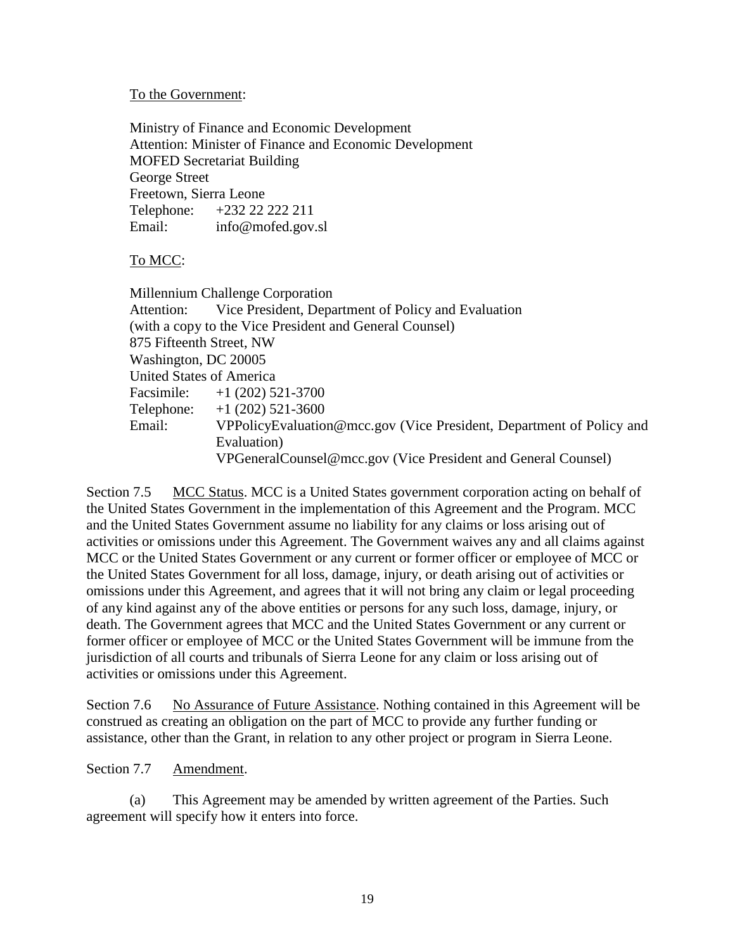#### To the Government:

Ministry of Finance and Economic Development Attention: Minister of Finance and Economic Development MOFED Secretariat Building George Street Freetown, Sierra Leone Telephone: +232 22 222 211 Email: info@mofed.gov.sl

#### To MCC:

Millennium Challenge Corporation Attention: Vice President, Department of Policy and Evaluation (with a copy to the Vice President and General Counsel) 875 Fifteenth Street, NW Washington, DC 20005 United States of America Facsimile: +1 (202) 521-3700 Telephone: +1 (202) 521-3600 Email: VPPolicyEvaluation@mcc.gov (Vice President, Department of Policy and Evaluation) VPGeneralCounsel@mcc.gov (Vice President and General Counsel)

<span id="page-21-0"></span>Section 7.5 MCC Status. MCC is a United States government corporation acting on behalf of the United States Government in the implementation of this Agreement and the Program. MCC and the United States Government assume no liability for any claims or loss arising out of activities or omissions under this Agreement. The Government waives any and all claims against MCC or the United States Government or any current or former officer or employee of MCC or the United States Government for all loss, damage, injury, or death arising out of activities or omissions under this Agreement, and agrees that it will not bring any claim or legal proceeding of any kind against any of the above entities or persons for any such loss, damage, injury, or death. The Government agrees that MCC and the United States Government or any current or former officer or employee of MCC or the United States Government will be immune from the jurisdiction of all courts and tribunals of Sierra Leone for any claim or loss arising out of activities or omissions under this Agreement.

<span id="page-21-1"></span>Section 7.6 No Assurance of Future Assistance. Nothing contained in this Agreement will be construed as creating an obligation on the part of MCC to provide any further funding or assistance, other than the Grant, in relation to any other project or program in Sierra Leone.

#### <span id="page-21-2"></span>Section 7.7 Amendment.

(a) This Agreement may be amended by written agreement of the Parties. Such agreement will specify how it enters into force.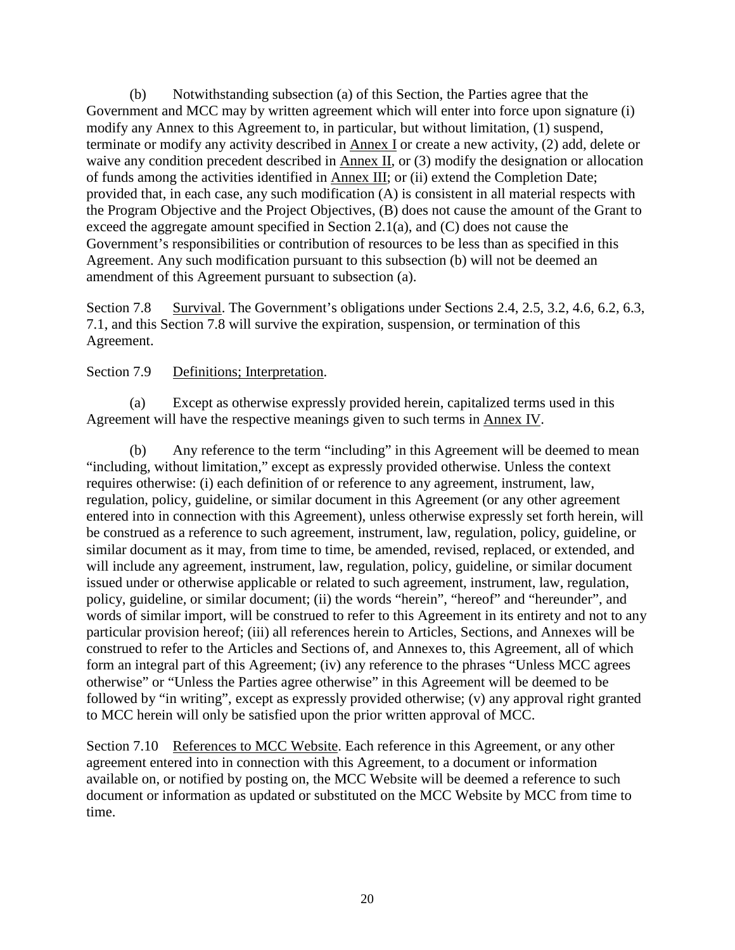(b) Notwithstanding subsection (a) of this Section, the Parties agree that the Government and MCC may by written agreement which will enter into force upon signature (i) modify any Annex to this Agreement to, in particular, but without limitation, (1) suspend, terminate or modify any activity described in Annex I or create a new activity, (2) add, delete or waive any condition precedent described in Annex II, or (3) modify the designation or allocation of funds among the activities identified in Annex III; or (ii) extend the Completion Date; provided that, in each case, any such modification (A) is consistent in all material respects with the Program Objective and the Project Objectives, (B) does not cause the amount of the Grant to exceed the aggregate amount specified in Section 2.1(a), and (C) does not cause the Government's responsibilities or contribution of resources to be less than as specified in this Agreement. Any such modification pursuant to this subsection (b) will not be deemed an amendment of this Agreement pursuant to subsection (a).

<span id="page-22-0"></span>Section 7.8 Survival. The Government's obligations under Sections 2.4, 2.5, 3.2, 4.6, 6.2, 6.3, 7.1, and this Section 7.8 will survive the expiration, suspension, or termination of this Agreement.

#### <span id="page-22-1"></span>Section 7.9 Definitions; Interpretation.

(a) Except as otherwise expressly provided herein, capitalized terms used in this Agreement will have the respective meanings given to such terms in Annex IV.

(b) Any reference to the term "including" in this Agreement will be deemed to mean "including, without limitation," except as expressly provided otherwise. Unless the context requires otherwise: (i) each definition of or reference to any agreement, instrument, law, regulation, policy, guideline, or similar document in this Agreement (or any other agreement entered into in connection with this Agreement), unless otherwise expressly set forth herein, will be construed as a reference to such agreement, instrument, law, regulation, policy, guideline, or similar document as it may, from time to time, be amended, revised, replaced, or extended, and will include any agreement, instrument, law, regulation, policy, guideline, or similar document issued under or otherwise applicable or related to such agreement, instrument, law, regulation, policy, guideline, or similar document; (ii) the words "herein", "hereof" and "hereunder", and words of similar import, will be construed to refer to this Agreement in its entirety and not to any particular provision hereof; (iii) all references herein to Articles, Sections, and Annexes will be construed to refer to the Articles and Sections of, and Annexes to, this Agreement, all of which form an integral part of this Agreement; (iv) any reference to the phrases "Unless MCC agrees otherwise" or "Unless the Parties agree otherwise" in this Agreement will be deemed to be followed by "in writing", except as expressly provided otherwise; (v) any approval right granted to MCC herein will only be satisfied upon the prior written approval of MCC.

<span id="page-22-2"></span>Section 7.10 References to MCC Website. Each reference in this Agreement, or any other agreement entered into in connection with this Agreement, to a document or information available on, or notified by posting on, the MCC Website will be deemed a reference to such document or information as updated or substituted on the MCC Website by MCC from time to time.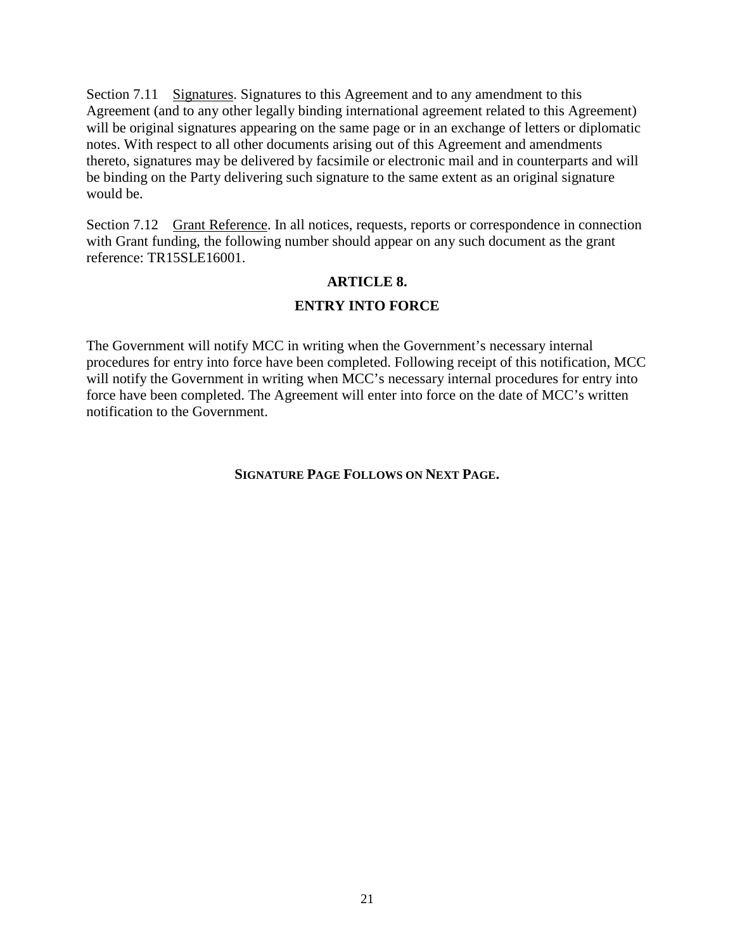<span id="page-23-0"></span>Section 7.11 Signatures. Signatures to this Agreement and to any amendment to this Agreement (and to any other legally binding international agreement related to this Agreement) will be original signatures appearing on the same page or in an exchange of letters or diplomatic notes. With respect to all other documents arising out of this Agreement and amendments thereto, signatures may be delivered by facsimile or electronic mail and in counterparts and will be binding on the Party delivering such signature to the same extent as an original signature would be.

Section 7.12 Grant Reference. In all notices, requests, reports or correspondence in connection with Grant funding, the following number should appear on any such document as the grant reference: TR15SLE16001.

#### <span id="page-23-2"></span><span id="page-23-1"></span>**ARTICLE 8.**

#### **ENTRY INTO FORCE**

The Government will notify MCC in writing when the Government's necessary internal procedures for entry into force have been completed. Following receipt of this notification, MCC will notify the Government in writing when MCC's necessary internal procedures for entry into force have been completed. The Agreement will enter into force on the date of MCC's written notification to the Government.

#### **SIGNATURE PAGE FOLLOWS ON NEXT PAGE.**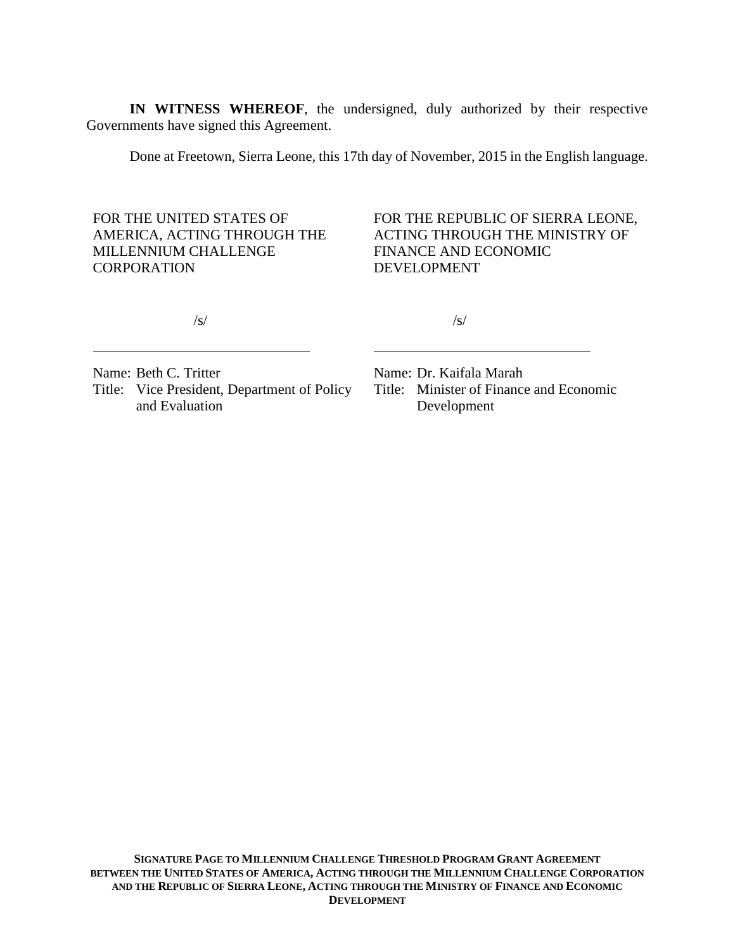**IN WITNESS WHEREOF**, the undersigned, duly authorized by their respective Governments have signed this Agreement.

Done at Freetown, Sierra Leone, this 17th day of November, 2015 in the English language.

FOR THE UNITED STATES OF AMERICA, ACTING THROUGH THE MILLENNIUM CHALLENGE **CORPORATION** 

FOR THE REPUBLIC OF SIERRA LEONE, ACTING THROUGH THE MINISTRY OF FINANCE AND ECONOMIC DEVELOPMENT

/s/

/s/

Name: Beth C. Tritter Title: Vice President, Department of Policy and Evaluation

Name: Dr. Kaifala Marah Title: Minister of Finance and Economic Development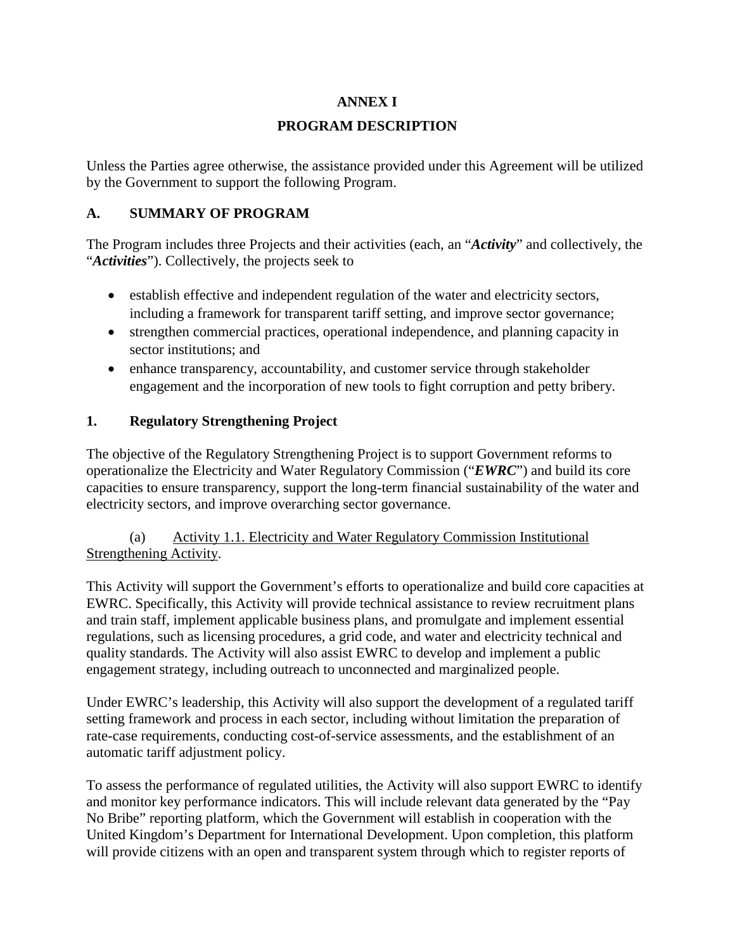### **ANNEX I**

# **PROGRAM DESCRIPTION**

Unless the Parties agree otherwise, the assistance provided under this Agreement will be utilized by the Government to support the following Program.

# **A. SUMMARY OF PROGRAM**

The Program includes three Projects and their activities (each, an "*Activity*" and collectively, the "*Activities*"). Collectively, the projects seek to

- establish effective and independent regulation of the water and electricity sectors, including a framework for transparent tariff setting, and improve sector governance;
- strengthen commercial practices, operational independence, and planning capacity in sector institutions; and
- enhance transparency, accountability, and customer service through stakeholder engagement and the incorporation of new tools to fight corruption and petty bribery.

# **1. Regulatory Strengthening Project**

The objective of the Regulatory Strengthening Project is to support Government reforms to operationalize the Electricity and Water Regulatory Commission ("*EWRC*") and build its core capacities to ensure transparency, support the long-term financial sustainability of the water and electricity sectors, and improve overarching sector governance.

### (a) Activity 1.1. Electricity and Water Regulatory Commission Institutional Strengthening Activity.

This Activity will support the Government's efforts to operationalize and build core capacities at EWRC. Specifically, this Activity will provide technical assistance to review recruitment plans and train staff, implement applicable business plans, and promulgate and implement essential regulations, such as licensing procedures, a grid code, and water and electricity technical and quality standards. The Activity will also assist EWRC to develop and implement a public engagement strategy, including outreach to unconnected and marginalized people.

Under EWRC's leadership, this Activity will also support the development of a regulated tariff setting framework and process in each sector, including without limitation the preparation of rate-case requirements, conducting cost-of-service assessments, and the establishment of an automatic tariff adjustment policy.

To assess the performance of regulated utilities, the Activity will also support EWRC to identify and monitor key performance indicators. This will include relevant data generated by the "Pay No Bribe" reporting platform, which the Government will establish in cooperation with the United Kingdom's Department for International Development. Upon completion, this platform will provide citizens with an open and transparent system through which to register reports of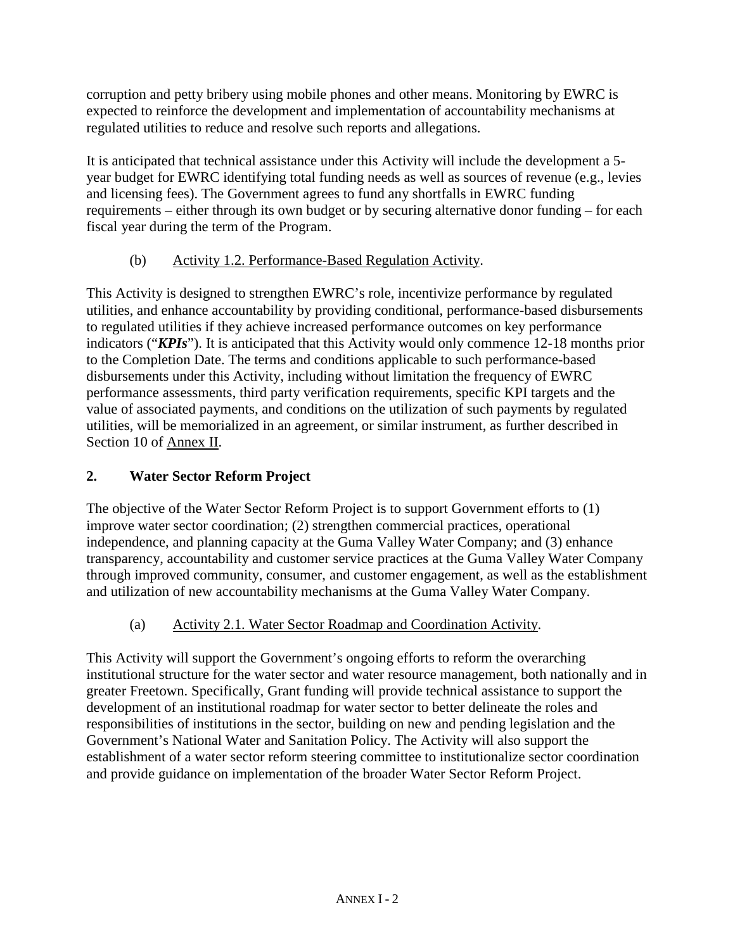corruption and petty bribery using mobile phones and other means. Monitoring by EWRC is expected to reinforce the development and implementation of accountability mechanisms at regulated utilities to reduce and resolve such reports and allegations.

It is anticipated that technical assistance under this Activity will include the development a 5 year budget for EWRC identifying total funding needs as well as sources of revenue (e.g., levies and licensing fees). The Government agrees to fund any shortfalls in EWRC funding requirements – either through its own budget or by securing alternative donor funding – for each fiscal year during the term of the Program.

# (b) Activity 1.2. Performance-Based Regulation Activity.

This Activity is designed to strengthen EWRC's role, incentivize performance by regulated utilities, and enhance accountability by providing conditional, performance-based disbursements to regulated utilities if they achieve increased performance outcomes on key performance indicators ("*KPIs*"). It is anticipated that this Activity would only commence 12-18 months prior to the Completion Date. The terms and conditions applicable to such performance-based disbursements under this Activity, including without limitation the frequency of EWRC performance assessments, third party verification requirements, specific KPI targets and the value of associated payments, and conditions on the utilization of such payments by regulated utilities, will be memorialized in an agreement, or similar instrument, as further described in Section 10 of Annex II.

# **2. Water Sector Reform Project**

The objective of the Water Sector Reform Project is to support Government efforts to (1) improve water sector coordination; (2) strengthen commercial practices, operational independence, and planning capacity at the Guma Valley Water Company; and (3) enhance transparency, accountability and customer service practices at the Guma Valley Water Company through improved community, consumer, and customer engagement, as well as the establishment and utilization of new accountability mechanisms at the Guma Valley Water Company.

# (a) Activity 2.1. Water Sector Roadmap and Coordination Activity.

This Activity will support the Government's ongoing efforts to reform the overarching institutional structure for the water sector and water resource management, both nationally and in greater Freetown. Specifically, Grant funding will provide technical assistance to support the development of an institutional roadmap for water sector to better delineate the roles and responsibilities of institutions in the sector, building on new and pending legislation and the Government's National Water and Sanitation Policy. The Activity will also support the establishment of a water sector reform steering committee to institutionalize sector coordination and provide guidance on implementation of the broader Water Sector Reform Project.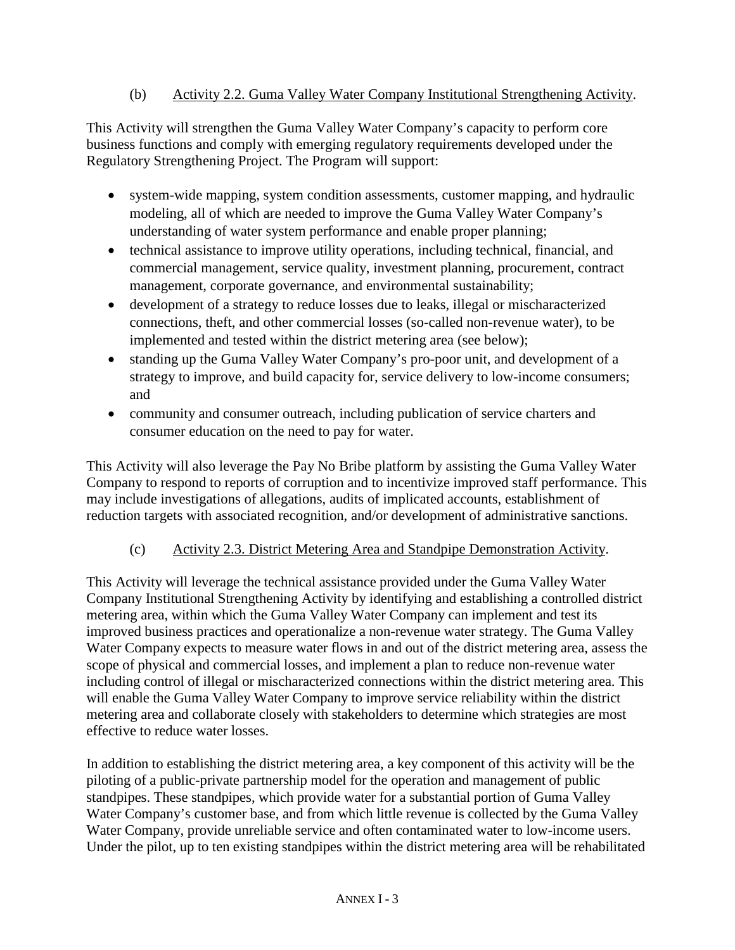### (b) Activity 2.2. Guma Valley Water Company Institutional Strengthening Activity.

This Activity will strengthen the Guma Valley Water Company's capacity to perform core business functions and comply with emerging regulatory requirements developed under the Regulatory Strengthening Project. The Program will support:

- system-wide mapping, system condition assessments, customer mapping, and hydraulic modeling, all of which are needed to improve the Guma Valley Water Company's understanding of water system performance and enable proper planning;
- technical assistance to improve utility operations, including technical, financial, and commercial management, service quality, investment planning, procurement, contract management, corporate governance, and environmental sustainability;
- development of a strategy to reduce losses due to leaks, illegal or mischaracterized connections, theft, and other commercial losses (so-called non-revenue water), to be implemented and tested within the district metering area (see below);
- standing up the Guma Valley Water Company's pro-poor unit, and development of a strategy to improve, and build capacity for, service delivery to low-income consumers; and
- community and consumer outreach, including publication of service charters and consumer education on the need to pay for water.

This Activity will also leverage the Pay No Bribe platform by assisting the Guma Valley Water Company to respond to reports of corruption and to incentivize improved staff performance. This may include investigations of allegations, audits of implicated accounts, establishment of reduction targets with associated recognition, and/or development of administrative sanctions.

# (c) Activity 2.3. District Metering Area and Standpipe Demonstration Activity.

This Activity will leverage the technical assistance provided under the Guma Valley Water Company Institutional Strengthening Activity by identifying and establishing a controlled district metering area, within which the Guma Valley Water Company can implement and test its improved business practices and operationalize a non-revenue water strategy. The Guma Valley Water Company expects to measure water flows in and out of the district metering area, assess the scope of physical and commercial losses, and implement a plan to reduce non-revenue water including control of illegal or mischaracterized connections within the district metering area. This will enable the Guma Valley Water Company to improve service reliability within the district metering area and collaborate closely with stakeholders to determine which strategies are most effective to reduce water losses.

In addition to establishing the district metering area, a key component of this activity will be the piloting of a public-private partnership model for the operation and management of public standpipes. These standpipes, which provide water for a substantial portion of Guma Valley Water Company's customer base, and from which little revenue is collected by the Guma Valley Water Company, provide unreliable service and often contaminated water to low-income users. Under the pilot, up to ten existing standpipes within the district metering area will be rehabilitated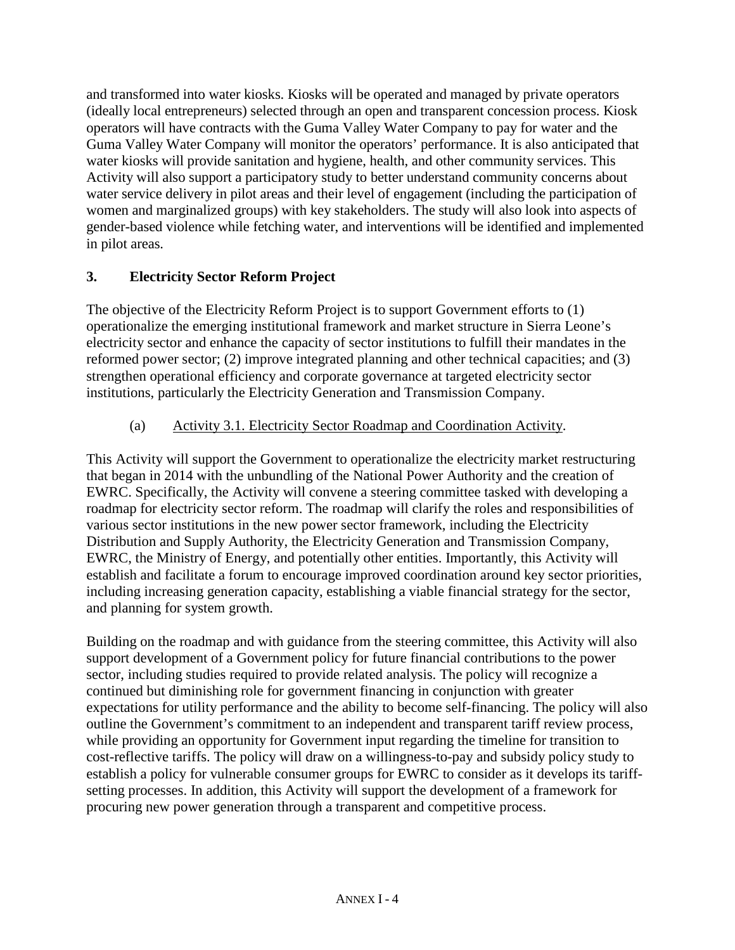and transformed into water kiosks. Kiosks will be operated and managed by private operators (ideally local entrepreneurs) selected through an open and transparent concession process. Kiosk operators will have contracts with the Guma Valley Water Company to pay for water and the Guma Valley Water Company will monitor the operators' performance. It is also anticipated that water kiosks will provide sanitation and hygiene, health, and other community services. This Activity will also support a participatory study to better understand community concerns about water service delivery in pilot areas and their level of engagement (including the participation of women and marginalized groups) with key stakeholders. The study will also look into aspects of gender-based violence while fetching water, and interventions will be identified and implemented in pilot areas.

# **3. Electricity Sector Reform Project**

The objective of the Electricity Reform Project is to support Government efforts to (1) operationalize the emerging institutional framework and market structure in Sierra Leone's electricity sector and enhance the capacity of sector institutions to fulfill their mandates in the reformed power sector; (2) improve integrated planning and other technical capacities; and (3) strengthen operational efficiency and corporate governance at targeted electricity sector institutions, particularly the Electricity Generation and Transmission Company.

# (a) Activity 3.1. Electricity Sector Roadmap and Coordination Activity.

This Activity will support the Government to operationalize the electricity market restructuring that began in 2014 with the unbundling of the National Power Authority and the creation of EWRC. Specifically, the Activity will convene a steering committee tasked with developing a roadmap for electricity sector reform. The roadmap will clarify the roles and responsibilities of various sector institutions in the new power sector framework, including the Electricity Distribution and Supply Authority, the Electricity Generation and Transmission Company, EWRC, the Ministry of Energy, and potentially other entities. Importantly, this Activity will establish and facilitate a forum to encourage improved coordination around key sector priorities, including increasing generation capacity, establishing a viable financial strategy for the sector, and planning for system growth.

Building on the roadmap and with guidance from the steering committee, this Activity will also support development of a Government policy for future financial contributions to the power sector, including studies required to provide related analysis. The policy will recognize a continued but diminishing role for government financing in conjunction with greater expectations for utility performance and the ability to become self-financing. The policy will also outline the Government's commitment to an independent and transparent tariff review process, while providing an opportunity for Government input regarding the timeline for transition to cost-reflective tariffs. The policy will draw on a willingness-to-pay and subsidy policy study to establish a policy for vulnerable consumer groups for EWRC to consider as it develops its tariffsetting processes. In addition, this Activity will support the development of a framework for procuring new power generation through a transparent and competitive process.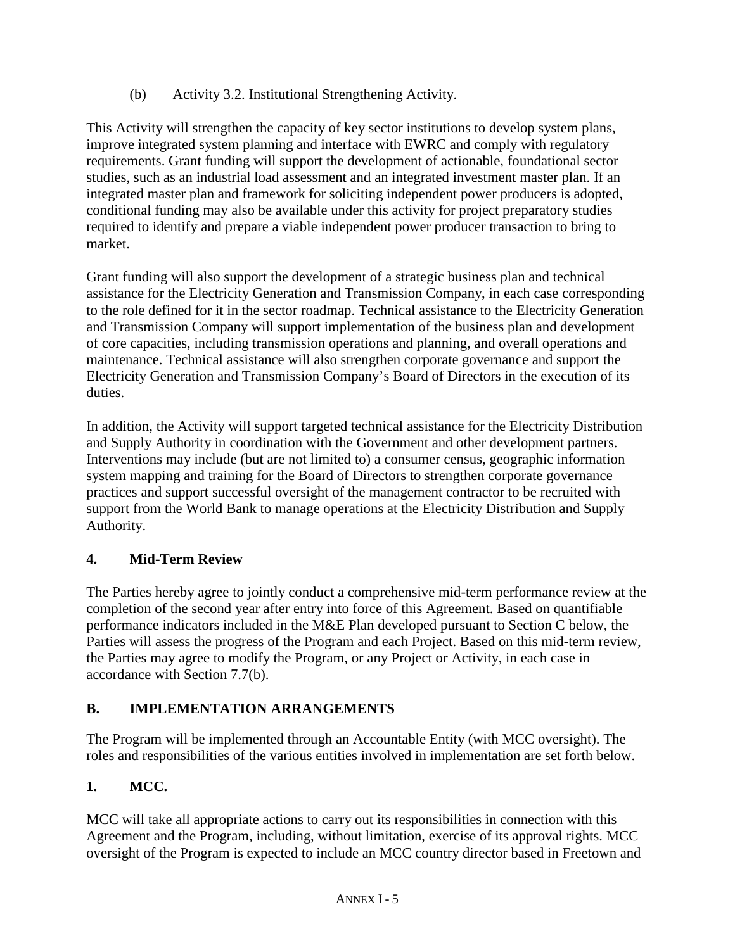# (b) Activity 3.2. Institutional Strengthening Activity.

This Activity will strengthen the capacity of key sector institutions to develop system plans, improve integrated system planning and interface with EWRC and comply with regulatory requirements. Grant funding will support the development of actionable, foundational sector studies, such as an industrial load assessment and an integrated investment master plan. If an integrated master plan and framework for soliciting independent power producers is adopted, conditional funding may also be available under this activity for project preparatory studies required to identify and prepare a viable independent power producer transaction to bring to market.

Grant funding will also support the development of a strategic business plan and technical assistance for the Electricity Generation and Transmission Company, in each case corresponding to the role defined for it in the sector roadmap. Technical assistance to the Electricity Generation and Transmission Company will support implementation of the business plan and development of core capacities, including transmission operations and planning, and overall operations and maintenance. Technical assistance will also strengthen corporate governance and support the Electricity Generation and Transmission Company's Board of Directors in the execution of its duties.

In addition, the Activity will support targeted technical assistance for the Electricity Distribution and Supply Authority in coordination with the Government and other development partners. Interventions may include (but are not limited to) a consumer census, geographic information system mapping and training for the Board of Directors to strengthen corporate governance practices and support successful oversight of the management contractor to be recruited with support from the World Bank to manage operations at the Electricity Distribution and Supply Authority.

# **4. Mid-Term Review**

The Parties hereby agree to jointly conduct a comprehensive mid-term performance review at the completion of the second year after entry into force of this Agreement. Based on quantifiable performance indicators included in the M&E Plan developed pursuant to Section C below, the Parties will assess the progress of the Program and each Project. Based on this mid-term review, the Parties may agree to modify the Program, or any Project or Activity, in each case in accordance with Section 7.7(b).

# **B. IMPLEMENTATION ARRANGEMENTS**

The Program will be implemented through an Accountable Entity (with MCC oversight). The roles and responsibilities of the various entities involved in implementation are set forth below.

# **1. MCC.**

MCC will take all appropriate actions to carry out its responsibilities in connection with this Agreement and the Program, including, without limitation, exercise of its approval rights. MCC oversight of the Program is expected to include an MCC country director based in Freetown and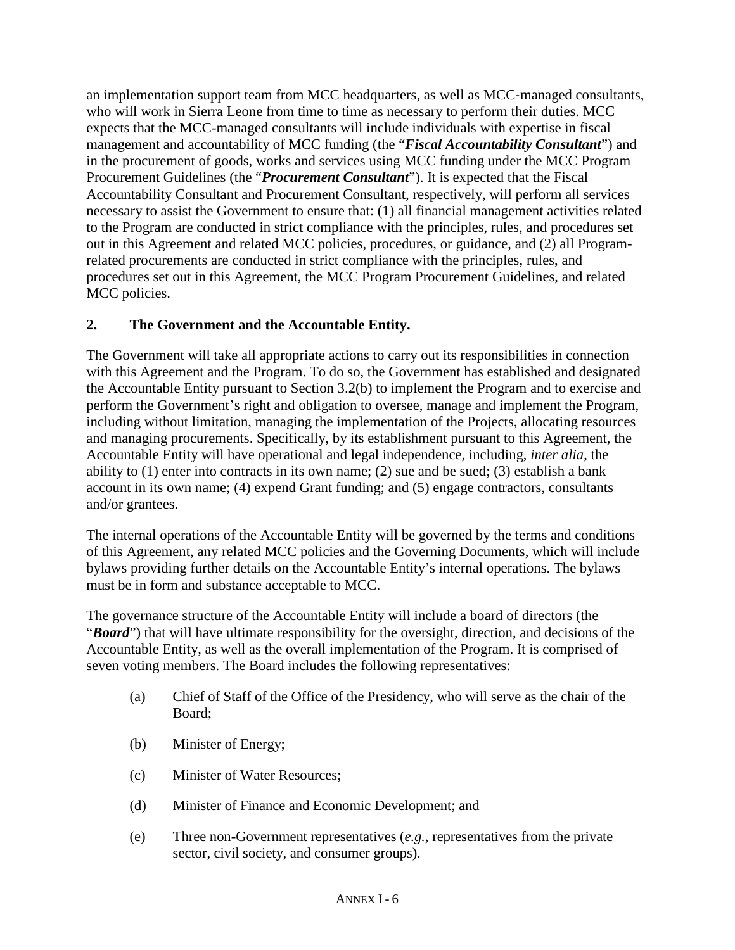an implementation support team from MCC headquarters, as well as MCC‐managed consultants, who will work in Sierra Leone from time to time as necessary to perform their duties. MCC expects that the MCC-managed consultants will include individuals with expertise in fiscal management and accountability of MCC funding (the "*Fiscal Accountability Consultant*") and in the procurement of goods, works and services using MCC funding under the MCC Program Procurement Guidelines (the "*Procurement Consultant*"). It is expected that the Fiscal Accountability Consultant and Procurement Consultant, respectively, will perform all services necessary to assist the Government to ensure that: (1) all financial management activities related to the Program are conducted in strict compliance with the principles, rules, and procedures set out in this Agreement and related MCC policies, procedures, or guidance, and (2) all Programrelated procurements are conducted in strict compliance with the principles, rules, and procedures set out in this Agreement, the MCC Program Procurement Guidelines, and related MCC policies.

# **2. The Government and the Accountable Entity.**

The Government will take all appropriate actions to carry out its responsibilities in connection with this Agreement and the Program. To do so, the Government has established and designated the Accountable Entity pursuant to Section 3.2(b) to implement the Program and to exercise and perform the Government's right and obligation to oversee, manage and implement the Program, including without limitation, managing the implementation of the Projects, allocating resources and managing procurements. Specifically, by its establishment pursuant to this Agreement, the Accountable Entity will have operational and legal independence, including, *inter alia*, the ability to (1) enter into contracts in its own name; (2) sue and be sued; (3) establish a bank account in its own name; (4) expend Grant funding; and (5) engage contractors, consultants and/or grantees.

The internal operations of the Accountable Entity will be governed by the terms and conditions of this Agreement, any related MCC policies and the Governing Documents, which will include bylaws providing further details on the Accountable Entity's internal operations. The bylaws must be in form and substance acceptable to MCC.

The governance structure of the Accountable Entity will include a board of directors (the "*Board*") that will have ultimate responsibility for the oversight, direction, and decisions of the Accountable Entity, as well as the overall implementation of the Program. It is comprised of seven voting members. The Board includes the following representatives:

- (a) Chief of Staff of the Office of the Presidency, who will serve as the chair of the Board;
- (b) Minister of Energy;
- (c) Minister of Water Resources;
- (d) Minister of Finance and Economic Development; and
- (e) Three non-Government representatives (*e.g.*, representatives from the private sector, civil society, and consumer groups).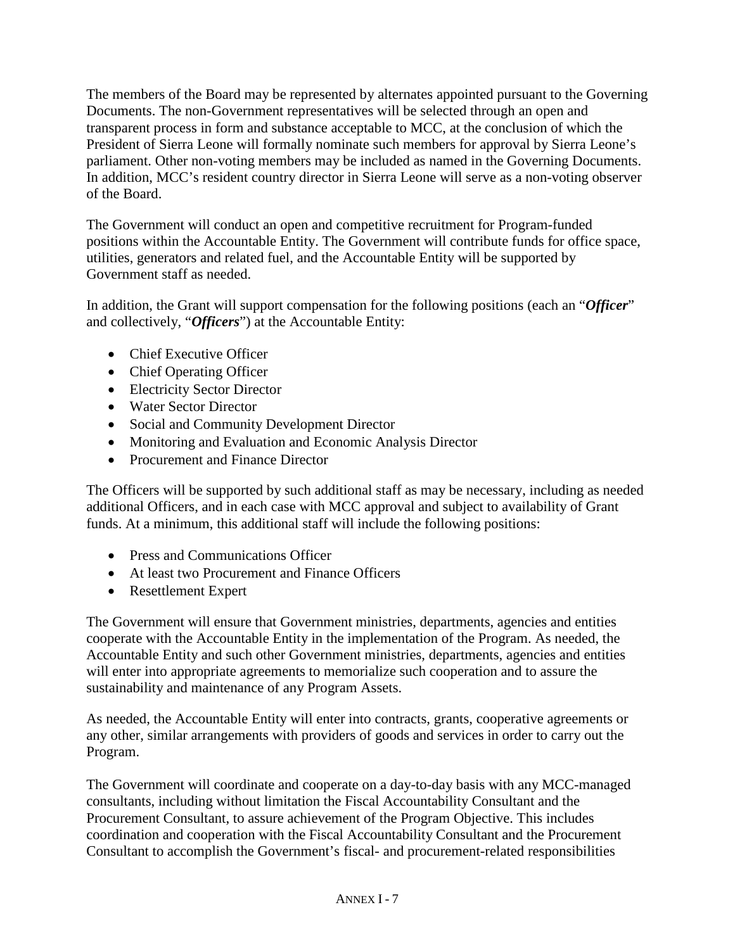The members of the Board may be represented by alternates appointed pursuant to the Governing Documents. The non-Government representatives will be selected through an open and transparent process in form and substance acceptable to MCC, at the conclusion of which the President of Sierra Leone will formally nominate such members for approval by Sierra Leone's parliament. Other non-voting members may be included as named in the Governing Documents. In addition, MCC's resident country director in Sierra Leone will serve as a non-voting observer of the Board.

The Government will conduct an open and competitive recruitment for Program-funded positions within the Accountable Entity. The Government will contribute funds for office space, utilities, generators and related fuel, and the Accountable Entity will be supported by Government staff as needed.

In addition, the Grant will support compensation for the following positions (each an "*Officer*" and collectively, "*Officers*") at the Accountable Entity:

- Chief Executive Officer
- Chief Operating Officer
- Electricity Sector Director
- Water Sector Director
- Social and Community Development Director
- Monitoring and Evaluation and Economic Analysis Director
- Procurement and Finance Director

The Officers will be supported by such additional staff as may be necessary, including as needed additional Officers, and in each case with MCC approval and subject to availability of Grant funds. At a minimum, this additional staff will include the following positions:

- Press and Communications Officer
- At least two Procurement and Finance Officers
- Resettlement Expert

The Government will ensure that Government ministries, departments, agencies and entities cooperate with the Accountable Entity in the implementation of the Program. As needed, the Accountable Entity and such other Government ministries, departments, agencies and entities will enter into appropriate agreements to memorialize such cooperation and to assure the sustainability and maintenance of any Program Assets.

As needed, the Accountable Entity will enter into contracts, grants, cooperative agreements or any other, similar arrangements with providers of goods and services in order to carry out the Program.

The Government will coordinate and cooperate on a day-to-day basis with any MCC-managed consultants, including without limitation the Fiscal Accountability Consultant and the Procurement Consultant, to assure achievement of the Program Objective. This includes coordination and cooperation with the Fiscal Accountability Consultant and the Procurement Consultant to accomplish the Government's fiscal- and procurement-related responsibilities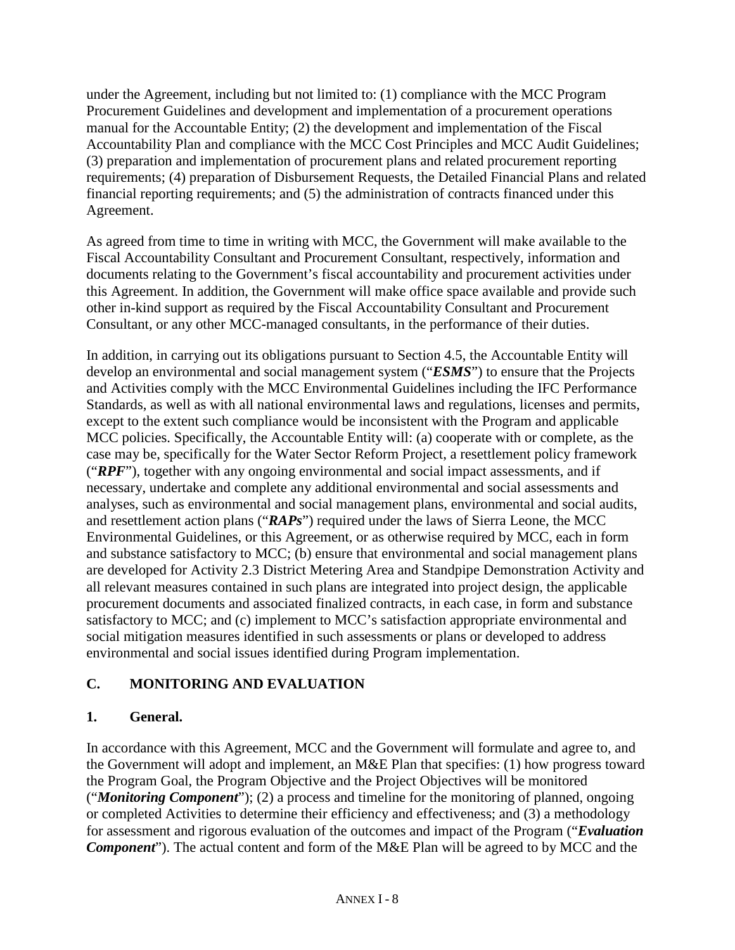under the Agreement, including but not limited to: (1) compliance with the MCC Program Procurement Guidelines and development and implementation of a procurement operations manual for the Accountable Entity; (2) the development and implementation of the Fiscal Accountability Plan and compliance with the MCC Cost Principles and MCC Audit Guidelines; (3) preparation and implementation of procurement plans and related procurement reporting requirements; (4) preparation of Disbursement Requests, the Detailed Financial Plans and related financial reporting requirements; and (5) the administration of contracts financed under this Agreement.

As agreed from time to time in writing with MCC, the Government will make available to the Fiscal Accountability Consultant and Procurement Consultant, respectively, information and documents relating to the Government's fiscal accountability and procurement activities under this Agreement. In addition, the Government will make office space available and provide such other in-kind support as required by the Fiscal Accountability Consultant and Procurement Consultant, or any other MCC-managed consultants, in the performance of their duties.

In addition, in carrying out its obligations pursuant to Section 4.5, the Accountable Entity will develop an environmental and social management system ("*ESMS*") to ensure that the Projects and Activities comply with the MCC Environmental Guidelines including the IFC Performance Standards, as well as with all national environmental laws and regulations, licenses and permits, except to the extent such compliance would be inconsistent with the Program and applicable MCC policies. Specifically, the Accountable Entity will: (a) cooperate with or complete, as the case may be, specifically for the Water Sector Reform Project, a resettlement policy framework ("*RPF*"), together with any ongoing environmental and social impact assessments, and if necessary, undertake and complete any additional environmental and social assessments and analyses, such as environmental and social management plans, environmental and social audits, and resettlement action plans ("*RAPs*") required under the laws of Sierra Leone, the MCC Environmental Guidelines, or this Agreement, or as otherwise required by MCC, each in form and substance satisfactory to MCC; (b) ensure that environmental and social management plans are developed for Activity 2.3 District Metering Area and Standpipe Demonstration Activity and all relevant measures contained in such plans are integrated into project design, the applicable procurement documents and associated finalized contracts, in each case, in form and substance satisfactory to MCC; and (c) implement to MCC's satisfaction appropriate environmental and social mitigation measures identified in such assessments or plans or developed to address environmental and social issues identified during Program implementation.

# **C. MONITORING AND EVALUATION**

# **1. General.**

In accordance with this Agreement, MCC and the Government will formulate and agree to, and the Government will adopt and implement, an M&E Plan that specifies: (1) how progress toward the Program Goal, the Program Objective and the Project Objectives will be monitored ("*Monitoring Component*"); (2) a process and timeline for the monitoring of planned, ongoing or completed Activities to determine their efficiency and effectiveness; and (3) a methodology for assessment and rigorous evaluation of the outcomes and impact of the Program ("*Evaluation Component*"). The actual content and form of the M&E Plan will be agreed to by MCC and the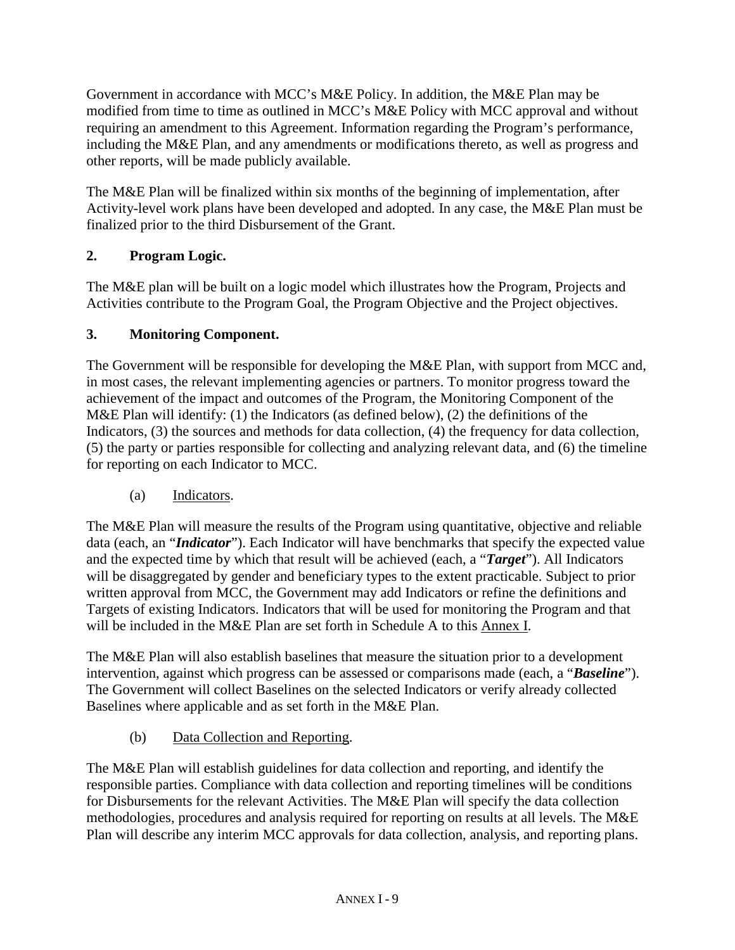Government in accordance with MCC's M&E Policy. In addition, the M&E Plan may be modified from time to time as outlined in MCC's M&E Policy with MCC approval and without requiring an amendment to this Agreement. Information regarding the Program's performance, including the M&E Plan, and any amendments or modifications thereto, as well as progress and other reports, will be made publicly available.

The M&E Plan will be finalized within six months of the beginning of implementation, after Activity-level work plans have been developed and adopted. In any case, the M&E Plan must be finalized prior to the third Disbursement of the Grant.

# **2. Program Logic.**

The M&E plan will be built on a logic model which illustrates how the Program, Projects and Activities contribute to the Program Goal, the Program Objective and the Project objectives.

# **3. Monitoring Component.**

The Government will be responsible for developing the M&E Plan, with support from MCC and, in most cases, the relevant implementing agencies or partners. To monitor progress toward the achievement of the impact and outcomes of the Program, the Monitoring Component of the M&E Plan will identify: (1) the Indicators (as defined below), (2) the definitions of the Indicators, (3) the sources and methods for data collection, (4) the frequency for data collection, (5) the party or parties responsible for collecting and analyzing relevant data, and (6) the timeline for reporting on each Indicator to MCC.

# (a) Indicators.

The M&E Plan will measure the results of the Program using quantitative, objective and reliable data (each, an "*Indicator*"). Each Indicator will have benchmarks that specify the expected value and the expected time by which that result will be achieved (each, a "*Target*"). All Indicators will be disaggregated by gender and beneficiary types to the extent practicable. Subject to prior written approval from MCC, the Government may add Indicators or refine the definitions and Targets of existing Indicators. Indicators that will be used for monitoring the Program and that will be included in the M&E Plan are set forth in Schedule A to this Annex I.

The M&E Plan will also establish baselines that measure the situation prior to a development intervention, against which progress can be assessed or comparisons made (each, a "*Baseline*"). The Government will collect Baselines on the selected Indicators or verify already collected Baselines where applicable and as set forth in the M&E Plan.

# (b) Data Collection and Reporting.

The M&E Plan will establish guidelines for data collection and reporting, and identify the responsible parties. Compliance with data collection and reporting timelines will be conditions for Disbursements for the relevant Activities. The M&E Plan will specify the data collection methodologies, procedures and analysis required for reporting on results at all levels. The M&E Plan will describe any interim MCC approvals for data collection, analysis, and reporting plans.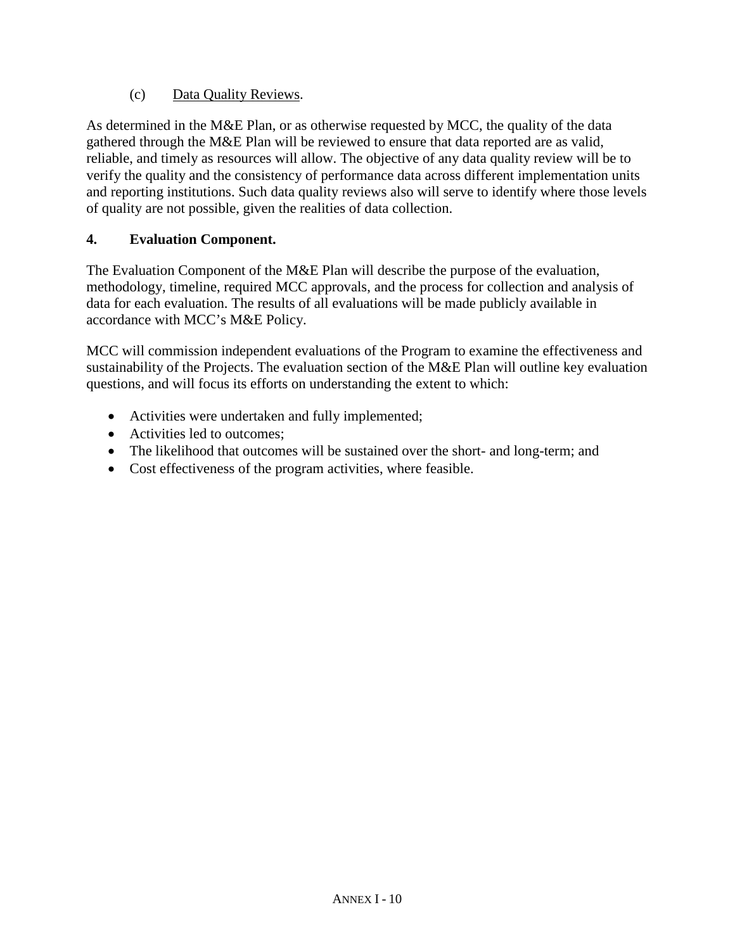### (c) Data Quality Reviews.

As determined in the M&E Plan, or as otherwise requested by MCC, the quality of the data gathered through the M&E Plan will be reviewed to ensure that data reported are as valid, reliable, and timely as resources will allow. The objective of any data quality review will be to verify the quality and the consistency of performance data across different implementation units and reporting institutions. Such data quality reviews also will serve to identify where those levels of quality are not possible, given the realities of data collection.

### **4. Evaluation Component.**

The Evaluation Component of the M&E Plan will describe the purpose of the evaluation, methodology, timeline, required MCC approvals, and the process for collection and analysis of data for each evaluation. The results of all evaluations will be made publicly available in accordance with MCC's M&E Policy.

MCC will commission independent evaluations of the Program to examine the effectiveness and sustainability of the Projects. The evaluation section of the M&E Plan will outline key evaluation questions, and will focus its efforts on understanding the extent to which:

- Activities were undertaken and fully implemented;
- Activities led to outcomes:
- The likelihood that outcomes will be sustained over the short- and long-term; and
- Cost effectiveness of the program activities, where feasible.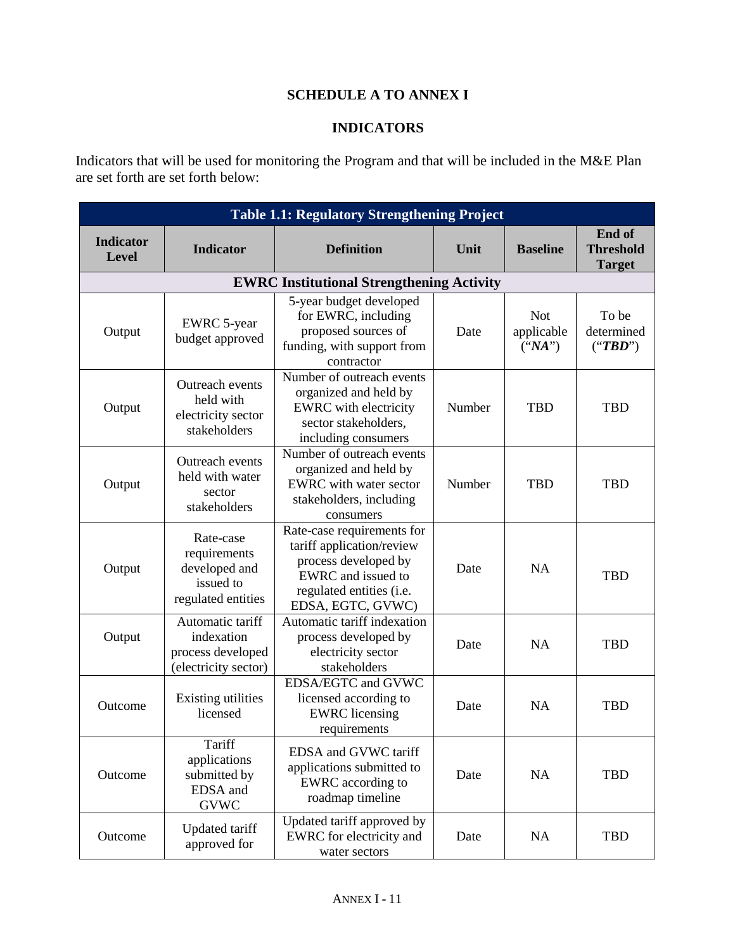# **SCHEDULE A TO ANNEX I**

### **INDICATORS**

Indicators that will be used for monitoring the Program and that will be included in the M&E Plan are set forth are set forth below:

| <b>Table 1.1: Regulatory Strengthening Project</b> |                                                                               |                                                                                                                                                        |        |                                      |                                             |
|----------------------------------------------------|-------------------------------------------------------------------------------|--------------------------------------------------------------------------------------------------------------------------------------------------------|--------|--------------------------------------|---------------------------------------------|
| <b>Indicator</b><br><b>Level</b>                   | <b>Indicator</b>                                                              | <b>Definition</b>                                                                                                                                      | Unit   | <b>Baseline</b>                      | End of<br><b>Threshold</b><br><b>Target</b> |
|                                                    |                                                                               | <b>EWRC Institutional Strengthening Activity</b>                                                                                                       |        |                                      |                                             |
| Output                                             | <b>EWRC</b> 5-year<br>budget approved                                         | 5-year budget developed<br>for EWRC, including<br>proposed sources of<br>funding, with support from<br>contractor                                      | Date   | <b>Not</b><br>applicable<br>$(*NA")$ | To be<br>determined<br>("TBD")              |
| Output                                             | Outreach events<br>held with<br>electricity sector<br>stakeholders            | Number of outreach events<br>organized and held by<br>EWRC with electricity<br>sector stakeholders,<br>including consumers                             | Number | <b>TBD</b>                           | <b>TBD</b>                                  |
| Output                                             | Outreach events<br>held with water<br>sector<br>stakeholders                  | Number of outreach events<br>organized and held by<br>EWRC with water sector<br>stakeholders, including<br>consumers                                   | Number | <b>TBD</b>                           | <b>TBD</b>                                  |
| Output                                             | Rate-case<br>requirements<br>developed and<br>issued to<br>regulated entities | Rate-case requirements for<br>tariff application/review<br>process developed by<br>EWRC and issued to<br>regulated entities (i.e.<br>EDSA, EGTC, GVWC) | Date   | <b>NA</b>                            | <b>TBD</b>                                  |
| Output                                             | Automatic tariff<br>indexation<br>process developed<br>(electricity sector)   | Automatic tariff indexation<br>process developed by<br>electricity sector<br>stakeholders                                                              | Date   | <b>NA</b>                            | <b>TBD</b>                                  |
| Outcome                                            | <b>Existing utilities</b><br>licensed                                         | EDSA/EGTC and GVWC<br>licensed according to<br><b>EWRC</b> licensing<br>requirements                                                                   | Date   | <b>NA</b>                            | <b>TBD</b>                                  |
| Outcome                                            | Tariff<br>applications<br>submitted by<br>EDSA and<br><b>GVWC</b>             | EDSA and GVWC tariff<br>applications submitted to<br>EWRC according to<br>roadmap timeline                                                             | Date   | <b>NA</b>                            | <b>TBD</b>                                  |
| Outcome                                            | <b>Updated tariff</b><br>approved for                                         | Updated tariff approved by<br>EWRC for electricity and<br>water sectors                                                                                | Date   | NA                                   | <b>TBD</b>                                  |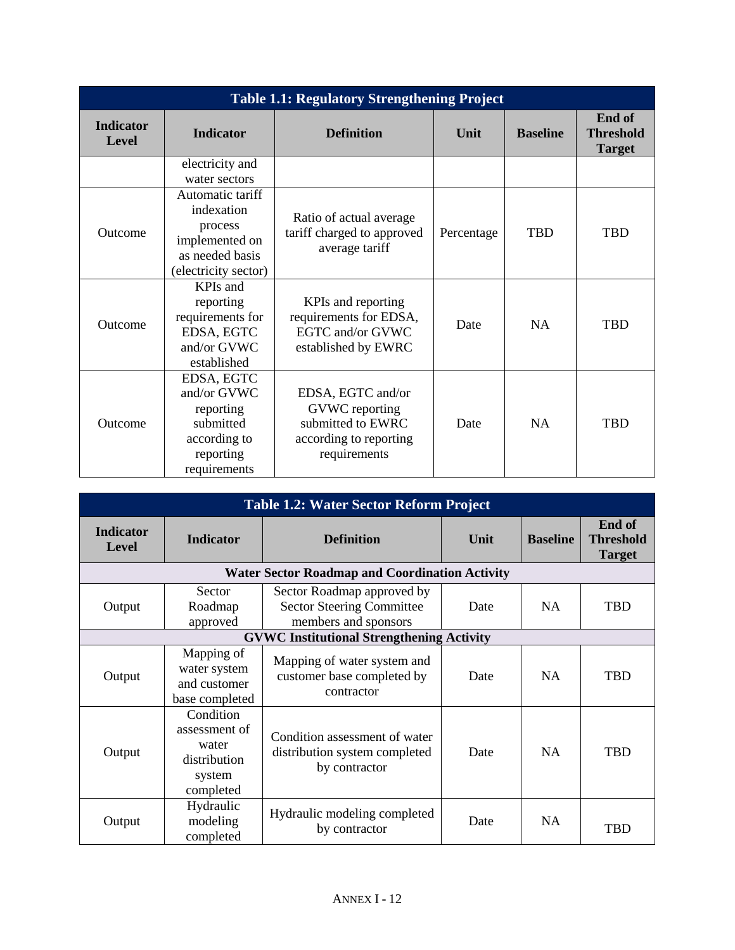| <b>Table 1.1: Regulatory Strengthening Project</b> |                                                                                                        |                                                                                                    |            |                 |                                             |
|----------------------------------------------------|--------------------------------------------------------------------------------------------------------|----------------------------------------------------------------------------------------------------|------------|-----------------|---------------------------------------------|
| <b>Indicator</b><br>Level                          | <b>Indicator</b>                                                                                       | <b>Definition</b>                                                                                  | Unit       | <b>Baseline</b> | End of<br><b>Threshold</b><br><b>Target</b> |
|                                                    | electricity and<br>water sectors                                                                       |                                                                                                    |            |                 |                                             |
| Outcome                                            | Automatic tariff<br>indexation<br>process<br>implemented on<br>as needed basis<br>(electricity sector) | Ratio of actual average<br>tariff charged to approved<br>average tariff                            | Percentage | <b>TBD</b>      | <b>TBD</b>                                  |
| Outcome                                            | KPIs and<br>reporting<br>requirements for<br>EDSA, EGTC<br>and/or GVWC<br>established                  | KPIs and reporting<br>requirements for EDSA,<br>EGTC and/or GVWC<br>established by EWRC            | Date       | <b>NA</b>       | <b>TBD</b>                                  |
| Outcome                                            | EDSA, EGTC<br>and/or GVWC<br>reporting<br>submitted<br>according to<br>reporting<br>requirements       | EDSA, EGTC and/or<br>GVWC reporting<br>submitted to EWRC<br>according to reporting<br>requirements | Date       | <b>NA</b>       | <b>TBD</b>                                  |

| <b>Table 1.2: Water Sector Reform Project</b>    |                                                                            |                                                                                        |      |                 |                                             |
|--------------------------------------------------|----------------------------------------------------------------------------|----------------------------------------------------------------------------------------|------|-----------------|---------------------------------------------|
| <b>Indicator</b><br>Level                        | <b>Indicator</b>                                                           | <b>Definition</b>                                                                      | Unit | <b>Baseline</b> | End of<br><b>Threshold</b><br><b>Target</b> |
|                                                  |                                                                            | <b>Water Sector Roadmap and Coordination Activity</b>                                  |      |                 |                                             |
| Output                                           | Sector<br>Roadmap<br>approved                                              | Sector Roadmap approved by<br><b>Sector Steering Committee</b><br>members and sponsors | Date | <b>NA</b>       | <b>TBD</b>                                  |
| <b>GVWC Institutional Strengthening Activity</b> |                                                                            |                                                                                        |      |                 |                                             |
| Output                                           | Mapping of<br>water system<br>and customer<br>base completed               | Mapping of water system and<br>customer base completed by<br>contractor                | Date | <b>NA</b>       | <b>TBD</b>                                  |
| Output                                           | Condition<br>assessment of<br>water<br>distribution<br>system<br>completed | Condition assessment of water<br>distribution system completed<br>by contractor        | Date | <b>NA</b>       | TBD                                         |
| Output                                           | Hydraulic<br>modeling<br>completed                                         | Hydraulic modeling completed<br>by contractor                                          | Date | <b>NA</b>       | TBD                                         |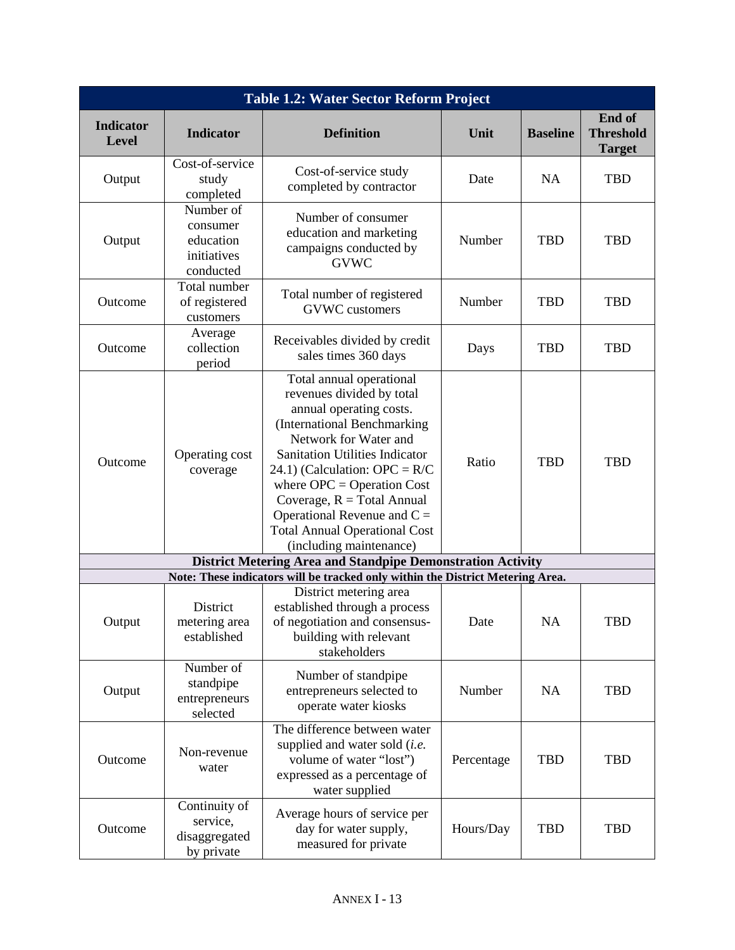| <b>Table 1.2: Water Sector Reform Project</b> |                                                                |                                                                                                                                                                                                                                                                                                                                                                                          |            |                 |                                             |
|-----------------------------------------------|----------------------------------------------------------------|------------------------------------------------------------------------------------------------------------------------------------------------------------------------------------------------------------------------------------------------------------------------------------------------------------------------------------------------------------------------------------------|------------|-----------------|---------------------------------------------|
| <b>Indicator</b><br><b>Level</b>              | <b>Indicator</b>                                               | <b>Definition</b>                                                                                                                                                                                                                                                                                                                                                                        | Unit       | <b>Baseline</b> | End of<br><b>Threshold</b><br><b>Target</b> |
| Output                                        | Cost-of-service<br>study<br>completed                          | Cost-of-service study<br>completed by contractor                                                                                                                                                                                                                                                                                                                                         | Date       | <b>NA</b>       | <b>TBD</b>                                  |
| Output                                        | Number of<br>consumer<br>education<br>initiatives<br>conducted | Number of consumer<br>education and marketing<br>campaigns conducted by<br><b>GVWC</b>                                                                                                                                                                                                                                                                                                   | Number     | <b>TBD</b>      | <b>TBD</b>                                  |
| Outcome                                       | Total number<br>of registered<br>customers                     | Total number of registered<br><b>GVWC</b> customers                                                                                                                                                                                                                                                                                                                                      | Number     | <b>TBD</b>      | <b>TBD</b>                                  |
| Outcome                                       | Average<br>collection<br>period                                | Receivables divided by credit<br>sales times 360 days                                                                                                                                                                                                                                                                                                                                    | Days       | <b>TBD</b>      | <b>TBD</b>                                  |
| Outcome                                       | Operating cost<br>coverage                                     | Total annual operational<br>revenues divided by total<br>annual operating costs.<br>(International Benchmarking<br>Network for Water and<br><b>Sanitation Utilities Indicator</b><br>24.1) (Calculation: OPC = $R/C$<br>where $OPC = Operation Cost$<br>Coverage, $R = Total Annual$<br>Operational Revenue and $C =$<br><b>Total Annual Operational Cost</b><br>(including maintenance) | Ratio      | <b>TBD</b>      | <b>TBD</b>                                  |
|                                               |                                                                | <b>District Metering Area and Standpipe Demonstration Activity</b>                                                                                                                                                                                                                                                                                                                       |            |                 |                                             |
|                                               |                                                                | Note: These indicators will be tracked only within the District Metering Area.                                                                                                                                                                                                                                                                                                           |            |                 |                                             |
| Output                                        | District<br>metering area<br>established                       | District metering area<br>established through a process<br>of negotiation and consensus-<br>building with relevant<br>stakeholders                                                                                                                                                                                                                                                       | Date       | <b>NA</b>       | <b>TBD</b>                                  |
| Output                                        | Number of<br>standpipe<br>entrepreneurs<br>selected            | Number of standpipe<br>entrepreneurs selected to<br>operate water kiosks                                                                                                                                                                                                                                                                                                                 | Number     | <b>NA</b>       | <b>TBD</b>                                  |
| Outcome                                       | Non-revenue<br>water                                           | The difference between water<br>supplied and water sold (i.e.<br>volume of water "lost")<br>expressed as a percentage of<br>water supplied                                                                                                                                                                                                                                               | Percentage | <b>TBD</b>      | <b>TBD</b>                                  |
| Outcome                                       | Continuity of<br>service,<br>disaggregated<br>by private       | Average hours of service per<br>day for water supply,<br>measured for private                                                                                                                                                                                                                                                                                                            | Hours/Day  | <b>TBD</b>      | <b>TBD</b>                                  |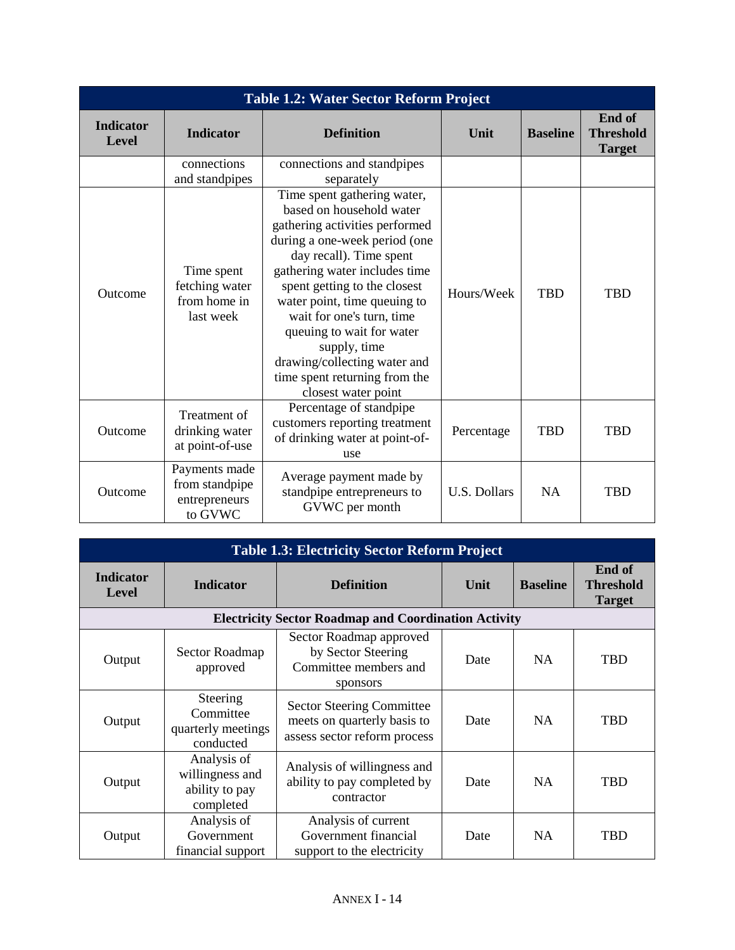| <b>Table 1.2: Water Sector Reform Project</b> |                                                             |                                                                                                                                                                                                                                                                                                                                                                                                                          |              |                 |                                             |
|-----------------------------------------------|-------------------------------------------------------------|--------------------------------------------------------------------------------------------------------------------------------------------------------------------------------------------------------------------------------------------------------------------------------------------------------------------------------------------------------------------------------------------------------------------------|--------------|-----------------|---------------------------------------------|
| <b>Indicator</b><br>Level                     | <b>Indicator</b>                                            | <b>Definition</b>                                                                                                                                                                                                                                                                                                                                                                                                        | Unit         | <b>Baseline</b> | End of<br><b>Threshold</b><br><b>Target</b> |
|                                               | connections<br>and standpipes                               | connections and standpipes<br>separately                                                                                                                                                                                                                                                                                                                                                                                 |              |                 |                                             |
| Outcome                                       | Time spent<br>fetching water<br>from home in<br>last week   | Time spent gathering water,<br>based on household water<br>gathering activities performed<br>during a one-week period (one<br>day recall). Time spent<br>gathering water includes time<br>spent getting to the closest<br>water point, time queuing to<br>wait for one's turn, time<br>queuing to wait for water<br>supply, time<br>drawing/collecting water and<br>time spent returning from the<br>closest water point | Hours/Week   | <b>TBD</b>      | <b>TBD</b>                                  |
| Outcome                                       | Treatment of<br>drinking water<br>at point-of-use           | Percentage of standpipe<br>customers reporting treatment<br>of drinking water at point-of-<br>use                                                                                                                                                                                                                                                                                                                        | Percentage   | <b>TBD</b>      | <b>TBD</b>                                  |
| Outcome                                       | Payments made<br>from standpipe<br>entrepreneurs<br>to GVWC | Average payment made by<br>standpipe entrepreneurs to<br>GVWC per month                                                                                                                                                                                                                                                                                                                                                  | U.S. Dollars | <b>NA</b>       | <b>TBD</b>                                  |

| <b>Table 1.3: Electricity Sector Reform Project</b> |                                                               |                                                                                                 |      |                 |                                             |
|-----------------------------------------------------|---------------------------------------------------------------|-------------------------------------------------------------------------------------------------|------|-----------------|---------------------------------------------|
| <b>Indicator</b><br>Level                           | <b>Indicator</b>                                              | <b>Definition</b>                                                                               | Unit | <b>Baseline</b> | End of<br><b>Threshold</b><br><b>Target</b> |
|                                                     |                                                               | <b>Electricity Sector Roadmap and Coordination Activity</b>                                     |      |                 |                                             |
| Output                                              | Sector Roadmap<br>approved                                    | Sector Roadmap approved<br>by Sector Steering<br>Committee members and<br>sponsors              | Date | NA.             | <b>TBD</b>                                  |
| Output                                              | Steering<br>Committee<br>quarterly meetings<br>conducted      | <b>Sector Steering Committee</b><br>meets on quarterly basis to<br>assess sector reform process | Date | <b>NA</b>       | <b>TBD</b>                                  |
| Output                                              | Analysis of<br>willingness and<br>ability to pay<br>completed | Analysis of willingness and<br>ability to pay completed by<br>contractor                        | Date | <b>NA</b>       | <b>TBD</b>                                  |
| Output                                              | Analysis of<br>Government<br>financial support                | Analysis of current<br>Government financial<br>support to the electricity                       | Date | NA.             | TBD                                         |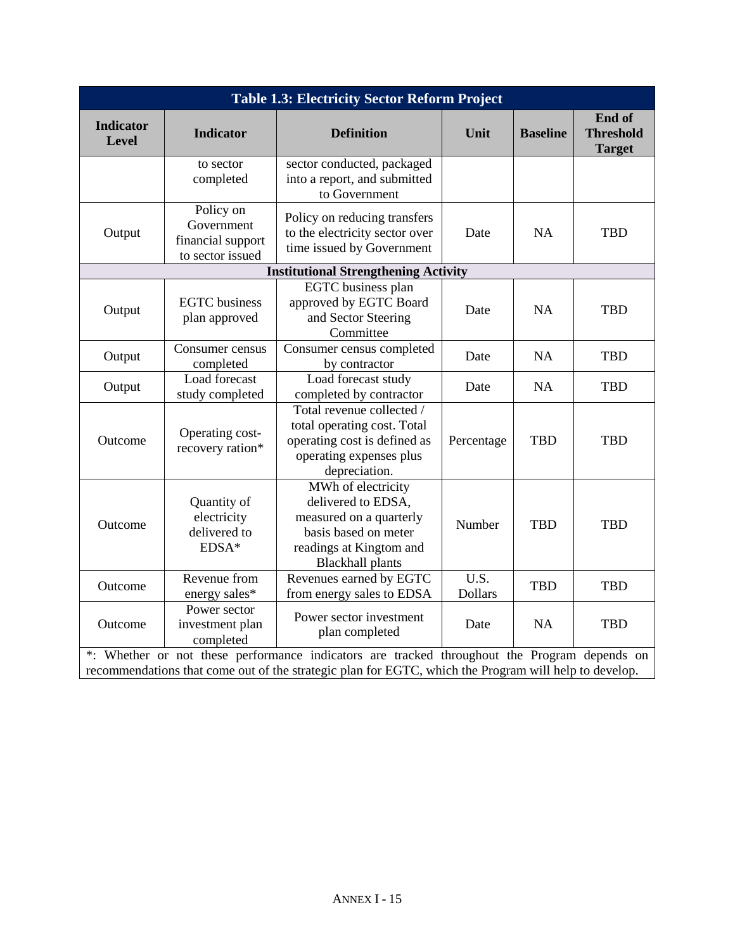| <b>Table 1.3: Electricity Sector Reform Project</b>                                                                                                                                                   |                                                                  |                                                                                                                                                   |                        |                 |                                             |
|-------------------------------------------------------------------------------------------------------------------------------------------------------------------------------------------------------|------------------------------------------------------------------|---------------------------------------------------------------------------------------------------------------------------------------------------|------------------------|-----------------|---------------------------------------------|
| <b>Indicator</b><br>Level                                                                                                                                                                             | <b>Indicator</b>                                                 | <b>Definition</b>                                                                                                                                 | Unit                   | <b>Baseline</b> | End of<br><b>Threshold</b><br><b>Target</b> |
|                                                                                                                                                                                                       | to sector<br>completed                                           | sector conducted, packaged<br>into a report, and submitted<br>to Government                                                                       |                        |                 |                                             |
| Output                                                                                                                                                                                                | Policy on<br>Government<br>financial support<br>to sector issued | Policy on reducing transfers<br>to the electricity sector over<br>time issued by Government                                                       | Date                   | <b>NA</b>       | <b>TBD</b>                                  |
|                                                                                                                                                                                                       |                                                                  | <b>Institutional Strengthening Activity</b>                                                                                                       |                        |                 |                                             |
| Output                                                                                                                                                                                                | <b>EGTC</b> business<br>plan approved                            | EGTC business plan<br>approved by EGTC Board<br>and Sector Steering<br>Committee                                                                  | Date                   | <b>NA</b>       | <b>TBD</b>                                  |
| Output                                                                                                                                                                                                | Consumer census<br>completed                                     | Consumer census completed<br>by contractor                                                                                                        | Date                   | <b>NA</b>       | <b>TBD</b>                                  |
| Output                                                                                                                                                                                                | Load forecast<br>study completed                                 | Load forecast study<br>completed by contractor                                                                                                    | Date                   | NA              | <b>TBD</b>                                  |
| Outcome                                                                                                                                                                                               | Operating cost-<br>recovery ration*                              | Total revenue collected /<br>total operating cost. Total<br>operating cost is defined as<br>operating expenses plus<br>depreciation.              | Percentage             | <b>TBD</b>      | <b>TBD</b>                                  |
| Outcome                                                                                                                                                                                               | Quantity of<br>electricity<br>delivered to<br>EDSA*              | MWh of electricity<br>delivered to EDSA,<br>measured on a quarterly<br>basis based on meter<br>readings at Kingtom and<br><b>Blackhall</b> plants | Number                 | <b>TBD</b>      | <b>TBD</b>                                  |
| Outcome                                                                                                                                                                                               | Revenue from<br>energy sales*                                    | Revenues earned by EGTC<br>from energy sales to EDSA                                                                                              | U.S.<br><b>Dollars</b> | <b>TBD</b>      | <b>TBD</b>                                  |
| Outcome                                                                                                                                                                                               | Power sector<br>investment plan<br>completed                     | Power sector investment<br>plan completed                                                                                                         | Date                   | <b>NA</b>       | <b>TBD</b>                                  |
| *: Whether or not these performance indicators are tracked throughout the Program depends on<br>recommendations that come out of the strategic plan for EGTC, which the Program will help to develop. |                                                                  |                                                                                                                                                   |                        |                 |                                             |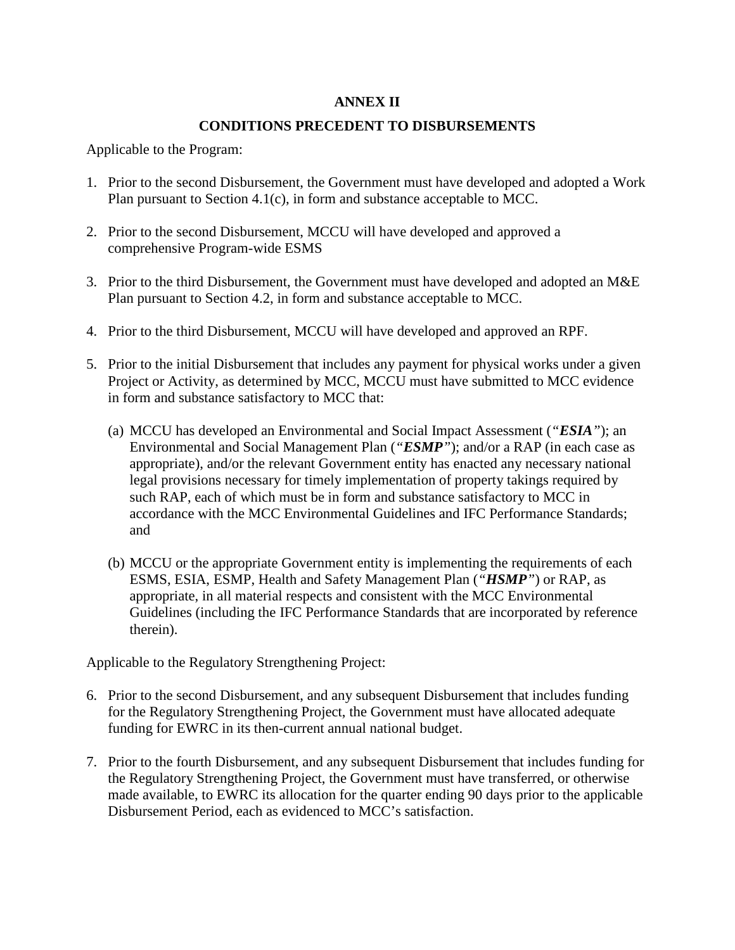### **ANNEX II**

### **CONDITIONS PRECEDENT TO DISBURSEMENTS**

Applicable to the Program:

- 1. Prior to the second Disbursement, the Government must have developed and adopted a Work Plan pursuant to Section 4.1(c), in form and substance acceptable to MCC.
- 2. Prior to the second Disbursement, MCCU will have developed and approved a comprehensive Program-wide ESMS
- 3. Prior to the third Disbursement, the Government must have developed and adopted an M&E Plan pursuant to Section 4.2, in form and substance acceptable to MCC.
- 4. Prior to the third Disbursement, MCCU will have developed and approved an RPF.
- 5. Prior to the initial Disbursement that includes any payment for physical works under a given Project or Activity, as determined by MCC, MCCU must have submitted to MCC evidence in form and substance satisfactory to MCC that:
	- (a) MCCU has developed an Environmental and Social Impact Assessment (*"ESIA"*); an Environmental and Social Management Plan (*"ESMP"*); and/or a RAP (in each case as appropriate), and/or the relevant Government entity has enacted any necessary national legal provisions necessary for timely implementation of property takings required by such RAP, each of which must be in form and substance satisfactory to MCC in accordance with the MCC Environmental Guidelines and IFC Performance Standards; and
	- (b) MCCU or the appropriate Government entity is implementing the requirements of each ESMS, ESIA, ESMP, Health and Safety Management Plan (*"HSMP"*) or RAP, as appropriate, in all material respects and consistent with the MCC Environmental Guidelines (including the IFC Performance Standards that are incorporated by reference therein).

Applicable to the Regulatory Strengthening Project:

- 6. Prior to the second Disbursement, and any subsequent Disbursement that includes funding for the Regulatory Strengthening Project, the Government must have allocated adequate funding for EWRC in its then-current annual national budget.
- 7. Prior to the fourth Disbursement, and any subsequent Disbursement that includes funding for the Regulatory Strengthening Project, the Government must have transferred, or otherwise made available, to EWRC its allocation for the quarter ending 90 days prior to the applicable Disbursement Period, each as evidenced to MCC's satisfaction.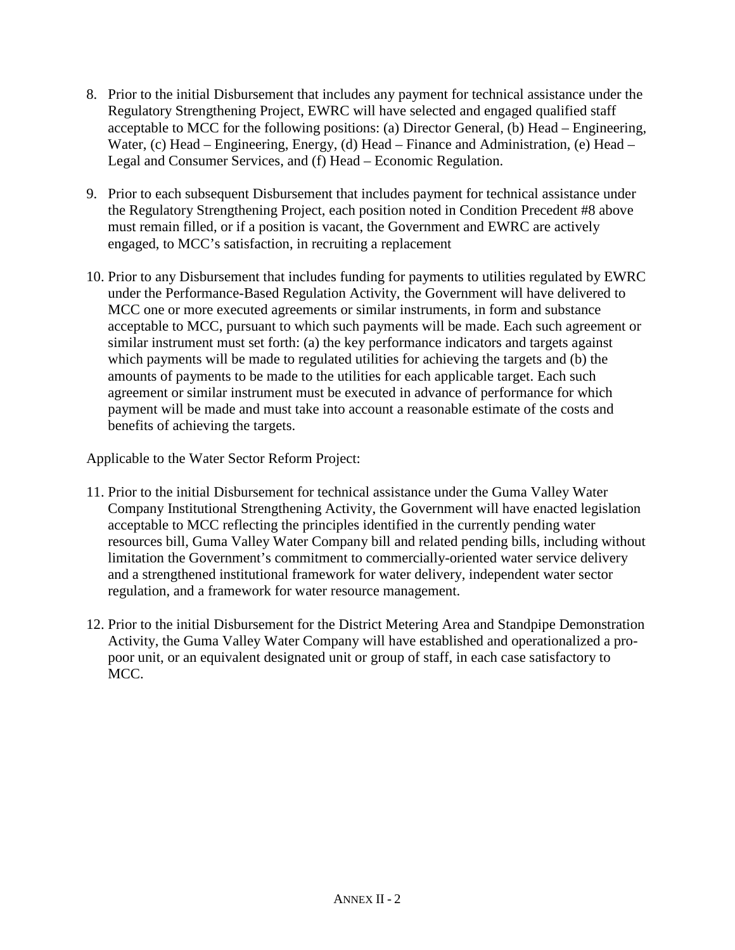- 8. Prior to the initial Disbursement that includes any payment for technical assistance under the Regulatory Strengthening Project, EWRC will have selected and engaged qualified staff acceptable to MCC for the following positions: (a) Director General, (b) Head – Engineering, Water, (c) Head – Engineering, Energy, (d) Head – Finance and Administration, (e) Head – Legal and Consumer Services, and (f) Head – Economic Regulation.
- 9. Prior to each subsequent Disbursement that includes payment for technical assistance under the Regulatory Strengthening Project, each position noted in Condition Precedent #8 above must remain filled, or if a position is vacant, the Government and EWRC are actively engaged, to MCC's satisfaction, in recruiting a replacement
- 10. Prior to any Disbursement that includes funding for payments to utilities regulated by EWRC under the Performance-Based Regulation Activity, the Government will have delivered to MCC one or more executed agreements or similar instruments, in form and substance acceptable to MCC, pursuant to which such payments will be made. Each such agreement or similar instrument must set forth: (a) the key performance indicators and targets against which payments will be made to regulated utilities for achieving the targets and (b) the amounts of payments to be made to the utilities for each applicable target. Each such agreement or similar instrument must be executed in advance of performance for which payment will be made and must take into account a reasonable estimate of the costs and benefits of achieving the targets.

Applicable to the Water Sector Reform Project:

- 11. Prior to the initial Disbursement for technical assistance under the Guma Valley Water Company Institutional Strengthening Activity, the Government will have enacted legislation acceptable to MCC reflecting the principles identified in the currently pending water resources bill, Guma Valley Water Company bill and related pending bills, including without limitation the Government's commitment to commercially-oriented water service delivery and a strengthened institutional framework for water delivery, independent water sector regulation, and a framework for water resource management.
- 12. Prior to the initial Disbursement for the District Metering Area and Standpipe Demonstration Activity, the Guma Valley Water Company will have established and operationalized a propoor unit, or an equivalent designated unit or group of staff, in each case satisfactory to MCC.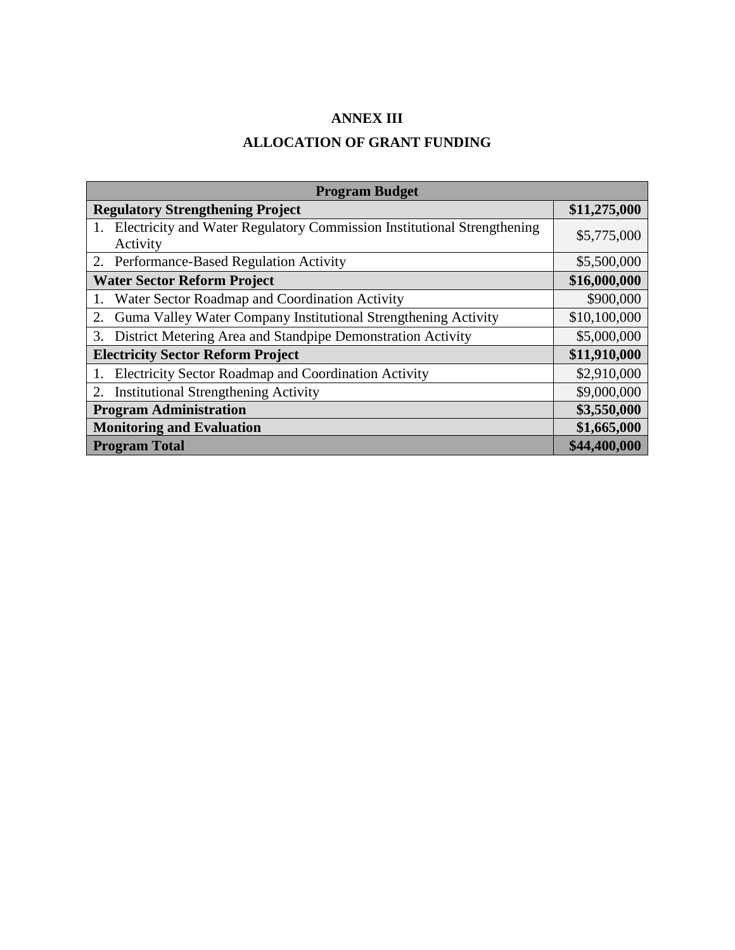### **ANNEX III**

# **ALLOCATION OF GRANT FUNDING**

| <b>Program Budget</b>                                                                  |              |  |  |
|----------------------------------------------------------------------------------------|--------------|--|--|
| <b>Regulatory Strengthening Project</b>                                                | \$11,275,000 |  |  |
| 1. Electricity and Water Regulatory Commission Institutional Strengthening<br>Activity | \$5,775,000  |  |  |
| 2. Performance-Based Regulation Activity                                               | \$5,500,000  |  |  |
| <b>Water Sector Reform Project</b>                                                     | \$16,000,000 |  |  |
| Water Sector Roadmap and Coordination Activity                                         | \$900,000    |  |  |
| Guma Valley Water Company Institutional Strengthening Activity<br>2.                   | \$10,100,000 |  |  |
| 3. District Metering Area and Standpipe Demonstration Activity                         | \$5,000,000  |  |  |
| <b>Electricity Sector Reform Project</b>                                               | \$11,910,000 |  |  |
| Electricity Sector Roadmap and Coordination Activity                                   | \$2,910,000  |  |  |
| <b>Institutional Strengthening Activity</b><br>2.                                      | \$9,000,000  |  |  |
| <b>Program Administration</b>                                                          | \$3,550,000  |  |  |
| <b>Monitoring and Evaluation</b>                                                       | \$1,665,000  |  |  |
| <b>Program Total</b>                                                                   | \$44,400,000 |  |  |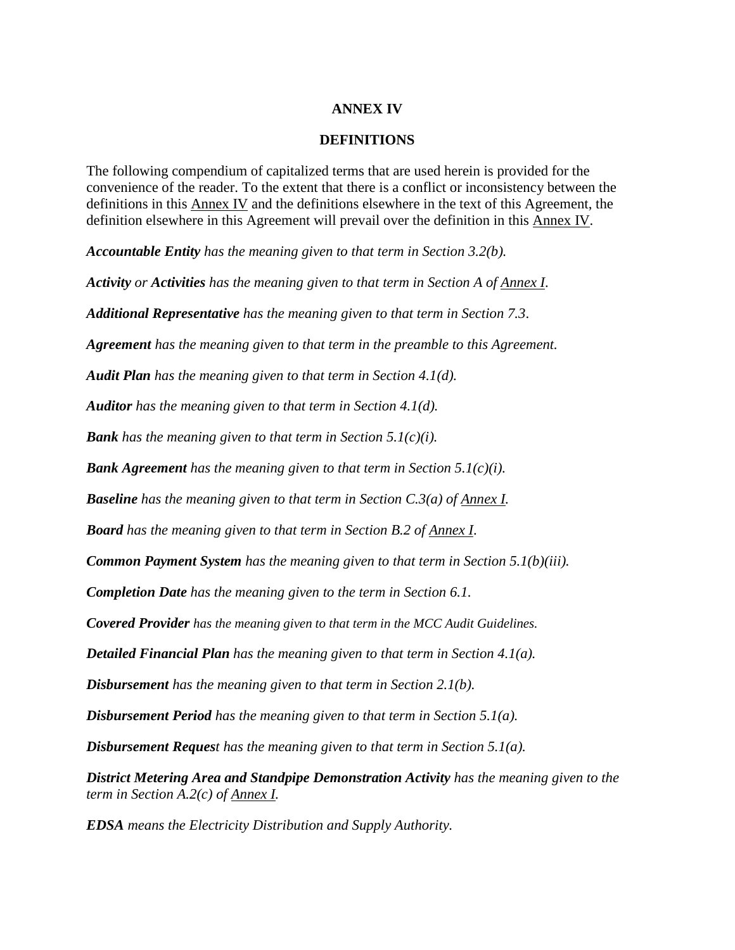#### **ANNEX IV**

#### **DEFINITIONS**

The following compendium of capitalized terms that are used herein is provided for the convenience of the reader. To the extent that there is a conflict or inconsistency between the definitions in this Annex IV and the definitions elsewhere in the text of this Agreement, the definition elsewhere in this Agreement will prevail over the definition in this Annex IV.

*Accountable Entity has the meaning given to that term in Section 3.2(b).* 

*Activity or Activities has the meaning given to that term in Section A of Annex I*.

*Additional Representative has the meaning given to that term in Section 7.3*.

*Agreement has the meaning given to that term in the preamble to this Agreement.* 

*Audit Plan has the meaning given to that term in Section 4.1(d).*

*Auditor has the meaning given to that term in Section 4.1(d).*

*Bank has the meaning given to that term in Section 5.1(c)(i).*

*Bank Agreement has the meaning given to that term in Section 5.1(c)(i).*

*Baseline has the meaning given to that term in Section C.3(a) of Annex I.* 

*Board has the meaning given to that term in Section B.2 of Annex I*.

*Common Payment System has the meaning given to that term in Section 5.1(b)(iii).*

*Completion Date has the meaning given to the term in Section 6.1.* 

*Covered Provider has the meaning given to that term in the MCC Audit Guidelines.*

*Detailed Financial Plan has the meaning given to that term in Section 4.1(a).* 

*Disbursement has the meaning given to that term in Section 2.1(b).*

*Disbursement Period has the meaning given to that term in Section 5.1(a).*

*Disbursement Request has the meaning given to that term in Section 5.1(a).*

*District Metering Area and Standpipe Demonstration Activity has the meaning given to the term in Section A.2(c) of Annex I.*

*EDSA means the Electricity Distribution and Supply Authority.*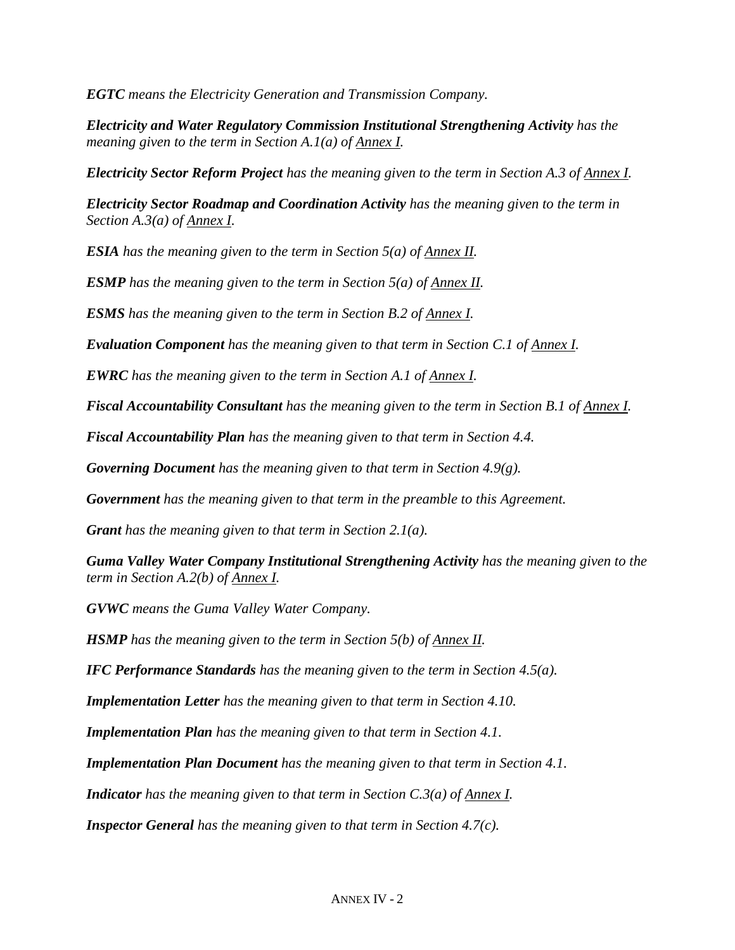*EGTC means the Electricity Generation and Transmission Company.*

*Electricity and Water Regulatory Commission Institutional Strengthening Activity has the meaning given to the term in Section A.1(a) of Annex I.*

*Electricity Sector Reform Project has the meaning given to the term in Section A.3 of Annex I.*

*Electricity Sector Roadmap and Coordination Activity has the meaning given to the term in Section A.3(a) of Annex I.*

*ESIA has the meaning given to the term in Section 5(a) of Annex II.*

*ESMP has the meaning given to the term in Section 5(a) of Annex II.*

*ESMS has the meaning given to the term in Section B.2 of Annex I.*

*Evaluation Component has the meaning given to that term in Section C.1 of Annex I.* 

*EWRC has the meaning given to the term in Section A.1 of Annex I.*

*Fiscal Accountability Consultant has the meaning given to the term in Section B.1 of Annex I.*

*Fiscal Accountability Plan has the meaning given to that term in Section 4.4.*

*Governing Document has the meaning given to that term in Section 4.9(g).*

*Government has the meaning given to that term in the preamble to this Agreement.*

*Grant has the meaning given to that term in Section 2.1(a).*

*Guma Valley Water Company Institutional Strengthening Activity has the meaning given to the term in Section A.2(b) of Annex I.*

*GVWC means the Guma Valley Water Company.*

*HSMP has the meaning given to the term in Section 5(b) of Annex II.*

*IFC Performance Standards has the meaning given to the term in Section 4.5(a).*

*Implementation Letter has the meaning given to that term in Section 4.10.* 

*Implementation Plan has the meaning given to that term in Section 4.1.*

*Implementation Plan Document has the meaning given to that term in Section 4.1.*

*Indicator has the meaning given to that term in Section C.3(a) of Annex I.*

*Inspector General has the meaning given to that term in Section 4.7(c).*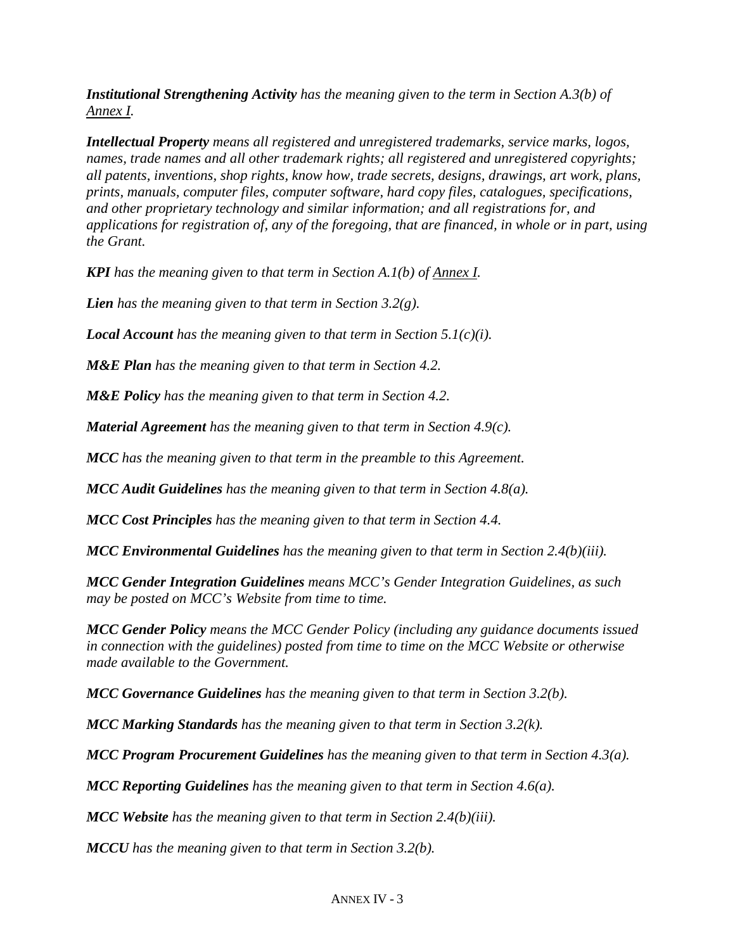*Institutional Strengthening Activity has the meaning given to the term in Section A.3(b) of Annex I.*

*Intellectual Property means all registered and unregistered trademarks, service marks, logos, names, trade names and all other trademark rights; all registered and unregistered copyrights; all patents, inventions, shop rights, know how, trade secrets, designs, drawings, art work, plans, prints, manuals, computer files, computer software, hard copy files, catalogues, specifications, and other proprietary technology and similar information; and all registrations for, and applications for registration of, any of the foregoing, that are financed, in whole or in part, using the Grant.* 

*KPI has the meaning given to that term in Section A.1(b) of Annex I.*

*Lien has the meaning given to that term in Section 3.2(g).*

*Local Account has the meaning given to that term in Section 5.1(c)(i).*

*M&E Plan has the meaning given to that term in Section 4.2.*

*M&E Policy has the meaning given to that term in Section 4.2.*

*Material Agreement has the meaning given to that term in Section 4.9(c).*

*MCC has the meaning given to that term in the preamble to this Agreement.*

*MCC Audit Guidelines has the meaning given to that term in Section 4.8(a).*

*MCC Cost Principles has the meaning given to that term in Section 4.4.*

*MCC Environmental Guidelines has the meaning given to that term in Section 2.4(b)(iii).*

*MCC Gender Integration Guidelines means MCC's Gender Integration Guidelines, as such may be posted on MCC's Website from time to time.*

*MCC Gender Policy means the MCC Gender Policy (including any guidance documents issued in connection with the guidelines) posted from time to time on the MCC Website or otherwise made available to the Government.*

*MCC Governance Guidelines has the meaning given to that term in Section 3.2(b).*

*MCC Marking Standards has the meaning given to that term in Section 3.2(k).*

*MCC Program Procurement Guidelines has the meaning given to that term in Section 4.3(a).*

*MCC Reporting Guidelines has the meaning given to that term in Section 4.6(a).*

*MCC Website has the meaning given to that term in Section 2.4(b)(iii).*

*MCCU has the meaning given to that term in Section 3.2(b).*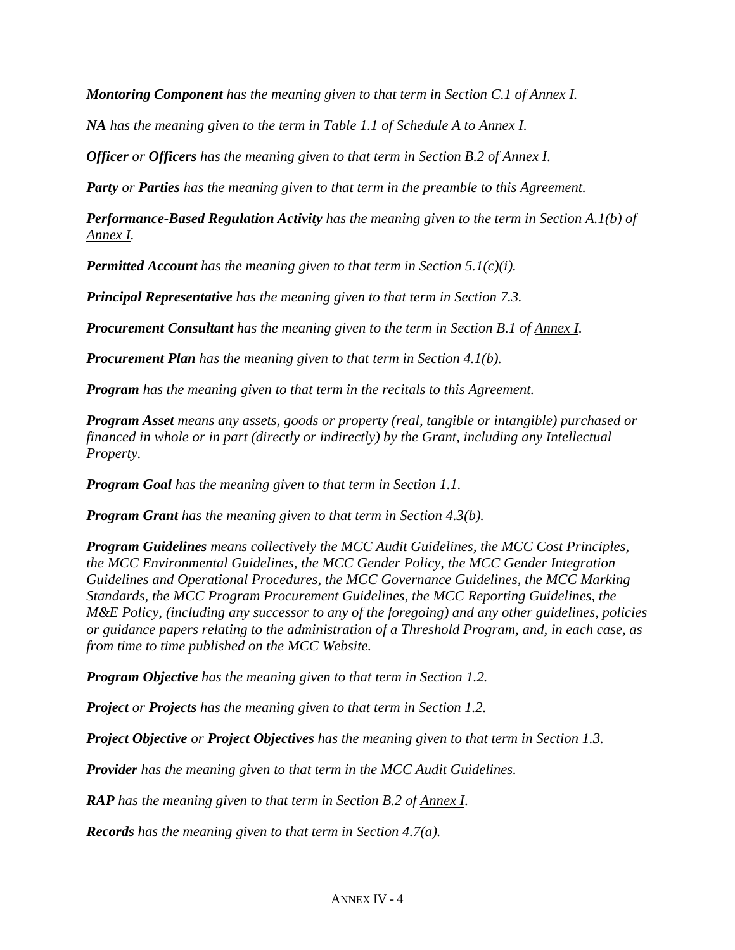*Montoring Component has the meaning given to that term in Section C.1 of Annex I.*

*NA has the meaning given to the term in Table 1.1 of Schedule A to Annex I.*

*Officer or Officers has the meaning given to that term in Section B.2 of Annex I*.

*Party or Parties has the meaning given to that term in the preamble to this Agreement.*

*Performance-Based Regulation Activity has the meaning given to the term in Section A.1(b) of Annex I.*

*Permitted Account has the meaning given to that term in Section 5.1(c)(i).*

*Principal Representative has the meaning given to that term in Section 7.3.*

*Procurement Consultant has the meaning given to the term in Section B.1 of Annex I.*

*Procurement Plan has the meaning given to that term in Section 4.1(b).* 

*Program has the meaning given to that term in the recitals to this Agreement.* 

*Program Asset means any assets, goods or property (real, tangible or intangible) purchased or financed in whole or in part (directly or indirectly) by the Grant, including any Intellectual Property.*

*Program Goal has the meaning given to that term in Section 1.1.* 

*Program Grant has the meaning given to that term in Section 4.3(b).*

*Program Guidelines means collectively the MCC Audit Guidelines, the MCC Cost Principles, the MCC Environmental Guidelines, the MCC Gender Policy, the MCC Gender Integration Guidelines and Operational Procedures, the MCC Governance Guidelines, the MCC Marking Standards, the MCC Program Procurement Guidelines, the MCC Reporting Guidelines, the M&E Policy, (including any successor to any of the foregoing) and any other guidelines, policies or guidance papers relating to the administration of a Threshold Program, and, in each case, as from time to time published on the MCC Website.*

*Program Objective has the meaning given to that term in Section 1.2.*

*Project or Projects has the meaning given to that term in Section 1.2.*

*Project Objective or Project Objectives has the meaning given to that term in Section 1.3.*

*Provider has the meaning given to that term in the MCC Audit Guidelines.*

*RAP has the meaning given to that term in Section B.2 of Annex I*.

*Records has the meaning given to that term in Section 4.7(a).*